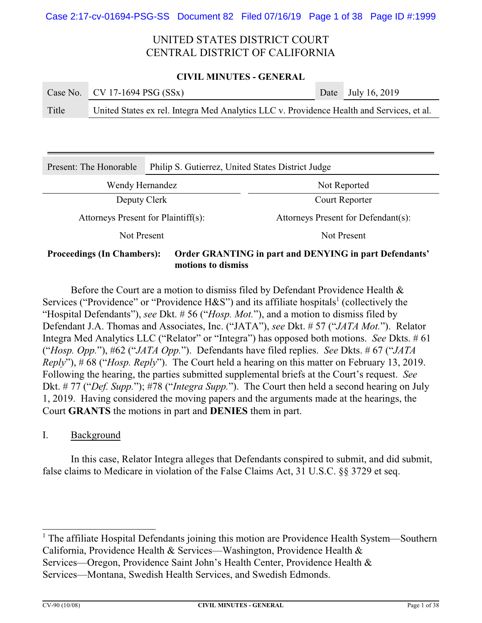### **CIVIL MINUTES - GENERAL**

|       | Case No. $CV 17-1694 PSG (SSx)$                                                           | Date July 16, 2019 |
|-------|-------------------------------------------------------------------------------------------|--------------------|
| Title | United States ex rel. Integra Med Analytics LLC v. Providence Health and Services, et al. |                    |

| Present: The Honorable              | Philip S. Gutierrez, United States District Judge |                                                        |  |
|-------------------------------------|---------------------------------------------------|--------------------------------------------------------|--|
| Wendy Hernandez                     |                                                   | Not Reported                                           |  |
| Deputy Clerk                        |                                                   | Court Reporter                                         |  |
| Attorneys Present for Plaintiff(s): |                                                   | Attorneys Present for Defendant(s):                    |  |
| Not Present                         |                                                   | Not Present                                            |  |
| <b>Proceedings (In Chambers):</b>   |                                                   | Order GRANTING in part and DENYING in part Defendants' |  |

**motions to dismiss**

Before the Court are a motion to dismiss filed by Defendant Providence Health & Services ("Providence" or "Providence H&S") and its affiliate hospitals<sup>1</sup> (collectively the "Hospital Defendants"), *see* Dkt. # 56 ("*Hosp. Mot.*"), and a motion to dismiss filed by Defendant J.A. Thomas and Associates, Inc. ("JATA"), *see* Dkt. # 57 ("*JATA Mot.*"). Relator Integra Med Analytics LLC ("Relator" or "Integra") has opposed both motions. *See* Dkts. # 61 ("*Hosp. Opp.*"), #62 ("*JATA Opp.*"). Defendants have filed replies. *See* Dkts. # 67 ("*JATA Reply*"), # 68 ("*Hosp. Reply*"). The Court held a hearing on this matter on February 13, 2019. Following the hearing, the parties submitted supplemental briefs at the Court's request. *See* Dkt. # 77 ("*Def. Supp.*"); #78 ("*Integra Supp.*"). The Court then held a second hearing on July 1, 2019.Having considered the moving papers and the arguments made at the hearings, the Court **GRANTS** the motions in part and **DENIES** them in part.

## I. Background

In this case, Relator Integra alleges that Defendants conspired to submit, and did submit, false claims to Medicare in violation of the False Claims Act, 31 U.S.C. §§ 3729 et seq.

<sup>&</sup>lt;sup>1</sup> The affiliate Hospital Defendants joining this motion are Providence Health System—Southern California, Providence Health & Services—Washington, Providence Health & Services—Oregon, Providence Saint John's Health Center, Providence Health & Services—Montana, Swedish Health Services, and Swedish Edmonds.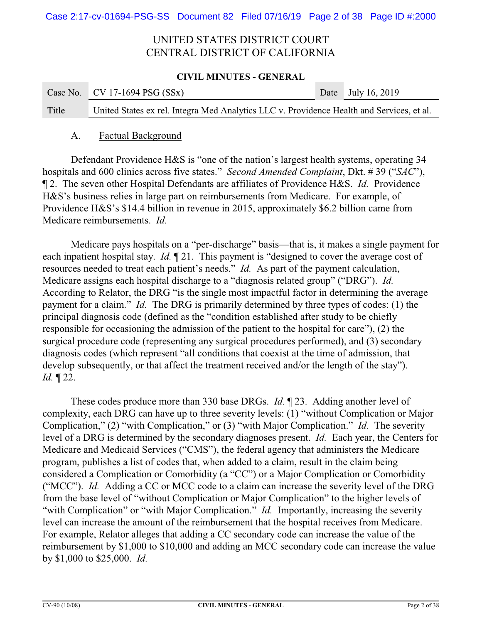### **CIVIL MINUTES - GENERAL**

|       | Case No. CV 17-1694 PSG $(SSx)$                                                           | Date July 16, 2019 |
|-------|-------------------------------------------------------------------------------------------|--------------------|
| Title | United States ex rel. Integra Med Analytics LLC v. Providence Health and Services, et al. |                    |

## A. Factual Background

Defendant Providence H&S is "one of the nation's largest health systems, operating 34 hospitals and 600 clinics across five states." *Second Amended Complaint*, Dkt. # 39 ("*SAC*"), ¶ 2. The seven other Hospital Defendants are affiliates of Providence H&S. *Id.* Providence H&S's business relies in large part on reimbursements from Medicare. For example, of Providence H&S's \$14.4 billion in revenue in 2015, approximately \$6.2 billion came from Medicare reimbursements. *Id.*

Medicare pays hospitals on a "per-discharge" basis—that is, it makes a single payment for each inpatient hospital stay. *Id.* ¶ 21. This payment is "designed to cover the average cost of resources needed to treat each patient's needs." *Id.* As part of the payment calculation, Medicare assigns each hospital discharge to a "diagnosis related group" ("DRG"). *Id.* According to Relator, the DRG "is the single most impactful factor in determining the average payment for a claim." *Id.* The DRG is primarily determined by three types of codes: (1) the principal diagnosis code (defined as the "condition established after study to be chiefly responsible for occasioning the admission of the patient to the hospital for care"), (2) the surgical procedure code (representing any surgical procedures performed), and (3) secondary diagnosis codes (which represent "all conditions that coexist at the time of admission, that develop subsequently, or that affect the treatment received and/or the length of the stay"). *Id.* ¶ 22.

These codes produce more than 330 base DRGs. *Id.* ¶ 23. Adding another level of complexity, each DRG can have up to three severity levels: (1) "without Complication or Major Complication," (2) "with Complication," or (3) "with Major Complication." *Id.* The severity level of a DRG is determined by the secondary diagnoses present. *Id.* Each year, the Centers for Medicare and Medicaid Services ("CMS"), the federal agency that administers the Medicare program, publishes a list of codes that, when added to a claim, result in the claim being considered a Complication or Comorbidity (a "CC") or a Major Complication or Comorbidity ("MCC"). *Id.* Adding a CC or MCC code to a claim can increase the severity level of the DRG from the base level of "without Complication or Major Complication" to the higher levels of "with Complication" or "with Major Complication." *Id.* Importantly, increasing the severity level can increase the amount of the reimbursement that the hospital receives from Medicare. For example, Relator alleges that adding a CC secondary code can increase the value of the reimbursement by \$1,000 to \$10,000 and adding an MCC secondary code can increase the value by \$1,000 to \$25,000. *Id.*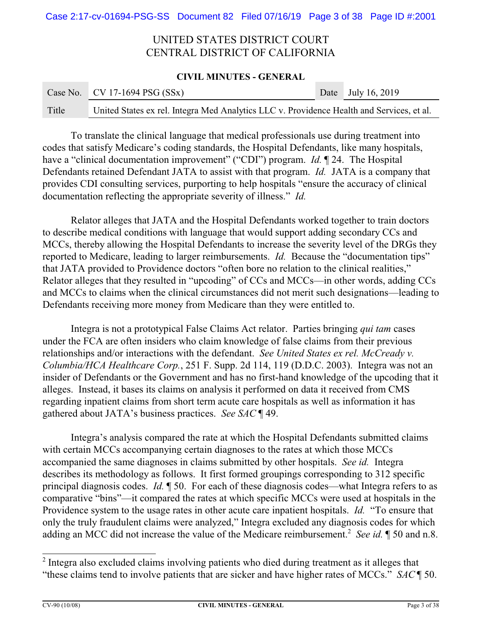### **CIVIL MINUTES - GENERAL**

|       | Case No. CV 17-1694 PSG $(SSx)$                                                           | Date July 16, 2019 |
|-------|-------------------------------------------------------------------------------------------|--------------------|
| Title | United States ex rel. Integra Med Analytics LLC v. Providence Health and Services, et al. |                    |

To translate the clinical language that medical professionals use during treatment into codes that satisfy Medicare's coding standards, the Hospital Defendants, like many hospitals, have a "clinical documentation improvement" ("CDI") program. *Id.* ¶ 24. The Hospital Defendants retained Defendant JATA to assist with that program. *Id.* JATA is a company that provides CDI consulting services, purporting to help hospitals "ensure the accuracy of clinical documentation reflecting the appropriate severity of illness." *Id.*

Relator alleges that JATA and the Hospital Defendants worked together to train doctors to describe medical conditions with language that would support adding secondary CCs and MCCs, thereby allowing the Hospital Defendants to increase the severity level of the DRGs they reported to Medicare, leading to larger reimbursements. *Id.* Because the "documentation tips" that JATA provided to Providence doctors "often bore no relation to the clinical realities," Relator alleges that they resulted in "upcoding" of CCs and MCCs—in other words, adding CCs and MCCs to claims when the clinical circumstances did not merit such designations—leading to Defendants receiving more money from Medicare than they were entitled to.

Integra is not a prototypical False Claims Act relator. Parties bringing *qui tam* cases under the FCA are often insiders who claim knowledge of false claims from their previous relationships and/or interactions with the defendant. *See United States ex rel. McCready v. Columbia/HCA Healthcare Corp.*, 251 F. Supp. 2d 114, 119 (D.D.C. 2003). Integra was not an insider of Defendants or the Government and has no first-hand knowledge of the upcoding that it alleges. Instead, it bases its claims on analysis it performed on data it received from CMS regarding inpatient claims from short term acute care hospitals as well as information it has gathered about JATA's business practices. *See SAC* ¶ 49.

Integra's analysis compared the rate at which the Hospital Defendants submitted claims with certain MCCs accompanying certain diagnoses to the rates at which those MCCs accompanied the same diagnoses in claims submitted by other hospitals. *See id.* Integra describes its methodology as follows. It first formed groupings corresponding to 312 specific principal diagnosis codes. *Id.* ¶ 50. For each of these diagnosis codes—what Integra refers to as comparative "bins"—it compared the rates at which specific MCCs were used at hospitals in the Providence system to the usage rates in other acute care inpatient hospitals. *Id.* "To ensure that only the truly fraudulent claims were analyzed," Integra excluded any diagnosis codes for which adding an MCC did not increase the value of the Medicare reimbursement.<sup>2</sup> See id. 1 50 and n.8.

<sup>&</sup>lt;sup>2</sup> Integra also excluded claims involving patients who died during treatment as it alleges that "these claims tend to involve patients that are sicker and have higher rates of MCCs." *SAC* ¶ 50.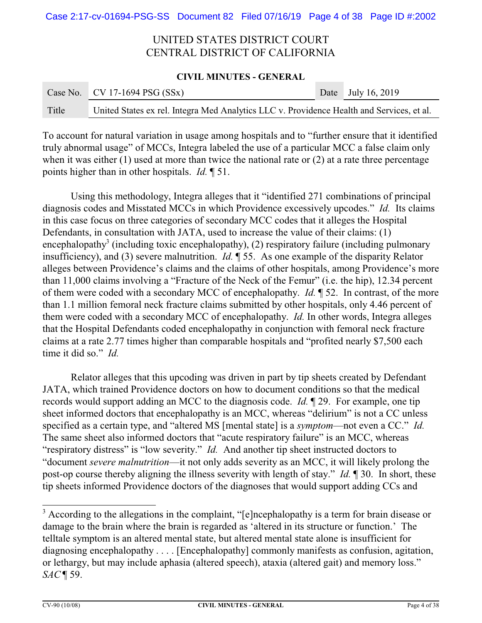### **CIVIL MINUTES - GENERAL**

|       | Case No. $\vert$ CV 17-1694 PSG (SSx)                                                     | Date July 16, 2019 |
|-------|-------------------------------------------------------------------------------------------|--------------------|
| Title | United States ex rel. Integra Med Analytics LLC v. Providence Health and Services, et al. |                    |

To account for natural variation in usage among hospitals and to "further ensure that it identified truly abnormal usage" of MCCs, Integra labeled the use of a particular MCC a false claim only when it was either (1) used at more than twice the national rate or (2) at a rate three percentage points higher than in other hospitals. *Id.* ¶ 51.

Using this methodology, Integra alleges that it "identified 271 combinations of principal diagnosis codes and Misstated MCCs in which Providence excessively upcodes." *Id.* Its claims in this case focus on three categories of secondary MCC codes that it alleges the Hospital Defendants, in consultation with JATA, used to increase the value of their claims: (1) encephalopathy<sup>3</sup> (including toxic encephalopathy), (2) respiratory failure (including pulmonary insufficiency), and (3) severe malnutrition. *Id.* ¶ 55. As one example of the disparity Relator alleges between Providence's claims and the claims of other hospitals, among Providence's more than 11,000 claims involving a "Fracture of the Neck of the Femur" (i.e. the hip), 12.34 percent of them were coded with a secondary MCC of encephalopathy. *Id.* ¶ 52. In contrast, of the more than 1.1 million femoral neck fracture claims submitted by other hospitals, only 4.46 percent of them were coded with a secondary MCC of encephalopathy. *Id.* In other words, Integra alleges that the Hospital Defendants coded encephalopathy in conjunction with femoral neck fracture claims at a rate 2.77 times higher than comparable hospitals and "profited nearly \$7,500 each time it did so." *Id.*

Relator alleges that this upcoding was driven in part by tip sheets created by Defendant JATA, which trained Providence doctors on how to document conditions so that the medical records would support adding an MCC to the diagnosis code. *Id.* ¶ 29. For example, one tip sheet informed doctors that encephalopathy is an MCC, whereas "delirium" is not a CC unless specified as a certain type, and "altered MS [mental state] is a *symptom*—not even a CC." *Id.* The same sheet also informed doctors that "acute respiratory failure" is an MCC, whereas "respiratory distress" is "low severity." *Id.* And another tip sheet instructed doctors to "document *severe malnutrition*—it not only adds severity as an MCC, it will likely prolong the post-op course thereby aligning the illness severity with length of stay." *Id.* ¶ 30. In short, these tip sheets informed Providence doctors of the diagnoses that would support adding CCs and

<sup>&</sup>lt;sup>3</sup> According to the allegations in the complaint, "[e]ncephalopathy is a term for brain disease or damage to the brain where the brain is regarded as 'altered in its structure or function.' The telltale symptom is an altered mental state, but altered mental state alone is insufficient for diagnosing encephalopathy . . . . [Encephalopathy] commonly manifests as confusion, agitation, or lethargy, but may include aphasia (altered speech), ataxia (altered gait) and memory loss." *SAC* ¶ 59.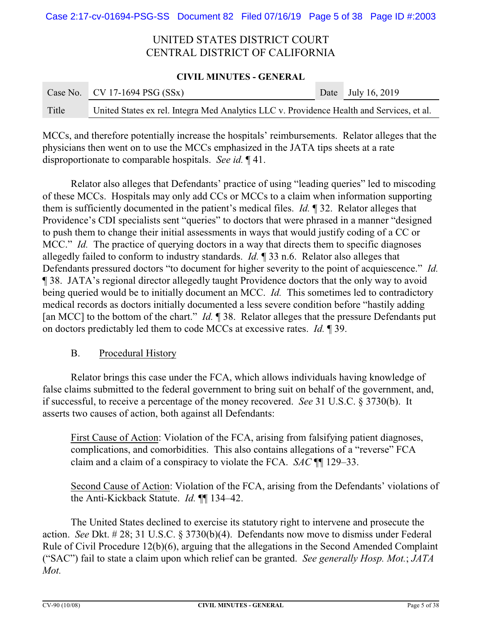### **CIVIL MINUTES - GENERAL**

|       | Case No. CV 17-1694 PSG $(SSx)$                                                           | Date July 16, 2019 |
|-------|-------------------------------------------------------------------------------------------|--------------------|
| Title | United States ex rel. Integra Med Analytics LLC v. Providence Health and Services, et al. |                    |

MCCs, and therefore potentially increase the hospitals' reimbursements. Relator alleges that the physicians then went on to use the MCCs emphasized in the JATA tips sheets at a rate disproportionate to comparable hospitals. *See id.* ¶ 41.

Relator also alleges that Defendants' practice of using "leading queries" led to miscoding of these MCCs. Hospitals may only add CCs or MCCs to a claim when information supporting them is sufficiently documented in the patient's medical files. *Id.* ¶ 32. Relator alleges that Providence's CDI specialists sent "queries" to doctors that were phrased in a manner "designed to push them to change their initial assessments in ways that would justify coding of a CC or MCC." *Id.* The practice of querying doctors in a way that directs them to specific diagnoses allegedly failed to conform to industry standards. *Id.* ¶ 33 n.6. Relator also alleges that Defendants pressured doctors "to document for higher severity to the point of acquiescence." *Id.* ¶ 38. JATA's regional director allegedly taught Providence doctors that the only way to avoid being queried would be to initially document an MCC. *Id.* This sometimes led to contradictory medical records as doctors initially documented a less severe condition before "hastily adding [an MCC] to the bottom of the chart." *Id.* ¶ 38. Relator alleges that the pressure Defendants put on doctors predictably led them to code MCCs at excessive rates. *Id.* ¶ 39.

## B. Procedural History

Relator brings this case under the FCA, which allows individuals having knowledge of false claims submitted to the federal government to bring suit on behalf of the government, and, if successful, to receive a percentage of the money recovered. *See* 31 U.S.C. § 3730(b). It asserts two causes of action, both against all Defendants:

First Cause of Action: Violation of the FCA, arising from falsifying patient diagnoses, complications, and comorbidities. This also contains allegations of a "reverse" FCA claim and a claim of a conspiracy to violate the FCA. *SAC* ¶¶ 129–33.

Second Cause of Action: Violation of the FCA, arising from the Defendants' violations of the Anti-Kickback Statute. *Id.* ¶¶ 134–42.

The United States declined to exercise its statutory right to intervene and prosecute the action. *See* Dkt. # 28; 31 U.S.C. § 3730(b)(4). Defendants now move to dismiss under Federal Rule of Civil Procedure 12(b)(6), arguing that the allegations in the Second Amended Complaint ("SAC") fail to state a claim upon which relief can be granted. *See generally Hosp. Mot.*; *JATA Mot.*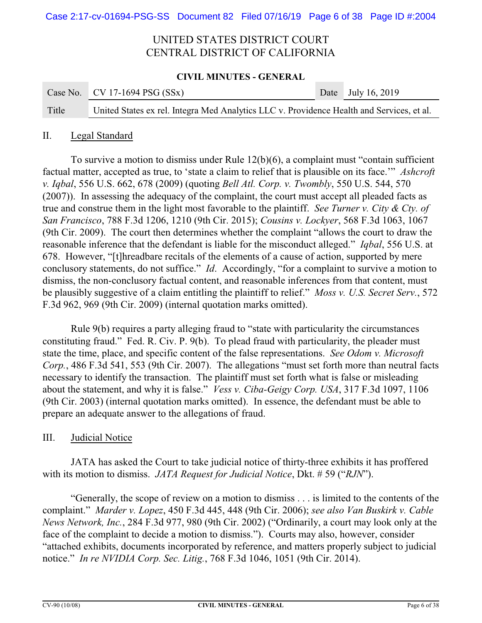### **CIVIL MINUTES - GENERAL**

|       | Case No. $\vert$ CV 17-1694 PSG (SSx)                                                     | Date July 16, 2019 |
|-------|-------------------------------------------------------------------------------------------|--------------------|
| Title | United States ex rel. Integra Med Analytics LLC v. Providence Health and Services, et al. |                    |

### II. Legal Standard

To survive a motion to dismiss under Rule 12(b)(6), a complaint must "contain sufficient factual matter, accepted as true, to 'state a claim to relief that is plausible on its face.'" *Ashcroft v. Iqbal*, 556 U.S. 662, 678 (2009) (quoting *Bell Atl. Corp. v. Twombly*, 550 U.S. 544, 570 (2007)). In assessing the adequacy of the complaint, the court must accept all pleaded facts as true and construe them in the light most favorable to the plaintiff. *See Turner v. City & Cty. of San Francisco*, 788 F.3d 1206, 1210 (9th Cir. 2015); *Cousins v. Lockyer*, 568 F.3d 1063, 1067 (9th Cir. 2009). The court then determines whether the complaint "allows the court to draw the reasonable inference that the defendant is liable for the misconduct alleged." *Iqbal*, 556 U.S. at 678. However, "[t]hreadbare recitals of the elements of a cause of action, supported by mere conclusory statements, do not suffice." *Id*. Accordingly, "for a complaint to survive a motion to dismiss, the non-conclusory factual content, and reasonable inferences from that content, must be plausibly suggestive of a claim entitling the plaintiff to relief." *Moss v. U.S. Secret Serv.*, 572 F.3d 962, 969 (9th Cir. 2009) (internal quotation marks omitted).

Rule 9(b) requires a party alleging fraud to "state with particularity the circumstances constituting fraud." Fed. R. Civ. P. 9(b). To plead fraud with particularity, the pleader must state the time, place, and specific content of the false representations. *See Odom v. Microsoft Corp.*, 486 F.3d 541, 553 (9th Cir. 2007). The allegations "must set forth more than neutral facts necessary to identify the transaction. The plaintiff must set forth what is false or misleading about the statement, and why it is false." *Vess v. Ciba-Geigy Corp. USA*, 317 F.3d 1097, 1106 (9th Cir. 2003) (internal quotation marks omitted). In essence, the defendant must be able to prepare an adequate answer to the allegations of fraud.

### III. Judicial Notice

JATA has asked the Court to take judicial notice of thirty-three exhibits it has proffered with its motion to dismiss. *JATA Request for Judicial Notice*, Dkt. # 59 ("*RJN*").

"Generally, the scope of review on a motion to dismiss . . . is limited to the contents of the complaint." *Marder v. Lopez*, 450 F.3d 445, 448 (9th Cir. 2006); *see also Van Buskirk v. Cable News Network, Inc.*, 284 F.3d 977, 980 (9th Cir. 2002) ("Ordinarily, a court may look only at the face of the complaint to decide a motion to dismiss."). Courts may also, however, consider "attached exhibits, documents incorporated by reference, and matters properly subject to judicial notice." *In re NVIDIA Corp. Sec. Litig.*, 768 F.3d 1046, 1051 (9th Cir. 2014).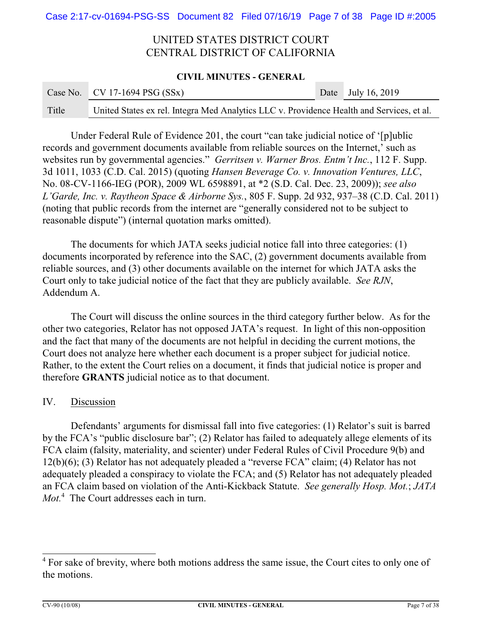### **CIVIL MINUTES - GENERAL**

|       | Case No. $\vert$ CV 17-1694 PSG (SSx)                                                     | Date July 16, 2019 |
|-------|-------------------------------------------------------------------------------------------|--------------------|
| Title | United States ex rel. Integra Med Analytics LLC v. Providence Health and Services, et al. |                    |

Under Federal Rule of Evidence 201, the court "can take judicial notice of '[p]ublic records and government documents available from reliable sources on the Internet,' such as websites run by governmental agencies." *Gerritsen v. Warner Bros. Entm't Inc.*, 112 F. Supp. 3d 1011, 1033 (C.D. Cal. 2015) (quoting *Hansen Beverage Co. v. Innovation Ventures, LLC*, No. 08-CV-1166-IEG (POR), 2009 WL 6598891, at \*2 (S.D. Cal. Dec. 23, 2009)); *see also L'Garde, Inc. v. Raytheon Space & Airborne Sys.*, 805 F. Supp. 2d 932, 937–38 (C.D. Cal. 2011) (noting that public records from the internet are "generally considered not to be subject to reasonable dispute") (internal quotation marks omitted).

The documents for which JATA seeks judicial notice fall into three categories: (1) documents incorporated by reference into the SAC, (2) government documents available from reliable sources, and (3) other documents available on the internet for which JATA asks the Court only to take judicial notice of the fact that they are publicly available. *See RJN*, Addendum A.

The Court will discuss the online sources in the third category further below. As for the other two categories, Relator has not opposed JATA's request. In light of this non-opposition and the fact that many of the documents are not helpful in deciding the current motions, the Court does not analyze here whether each document is a proper subject for judicial notice. Rather, to the extent the Court relies on a document, it finds that judicial notice is proper and therefore **GRANTS** judicial notice as to that document.

## IV. Discussion

Defendants' arguments for dismissal fall into five categories: (1) Relator's suit is barred by the FCA's "public disclosure bar"; (2) Relator has failed to adequately allege elements of its FCA claim (falsity, materiality, and scienter) under Federal Rules of Civil Procedure 9(b) and 12(b)(6); (3) Relator has not adequately pleaded a "reverse FCA" claim; (4) Relator has not adequately pleaded a conspiracy to violate the FCA; and (5) Relator has not adequately pleaded an FCA claim based on violation of the Anti-Kickback Statute. *See generally Hosp. Mot.*; *JATA Mot.*<sup>4</sup> The Court addresses each in turn.

<sup>&</sup>lt;sup>4</sup> For sake of brevity, where both motions address the same issue, the Court cites to only one of the motions.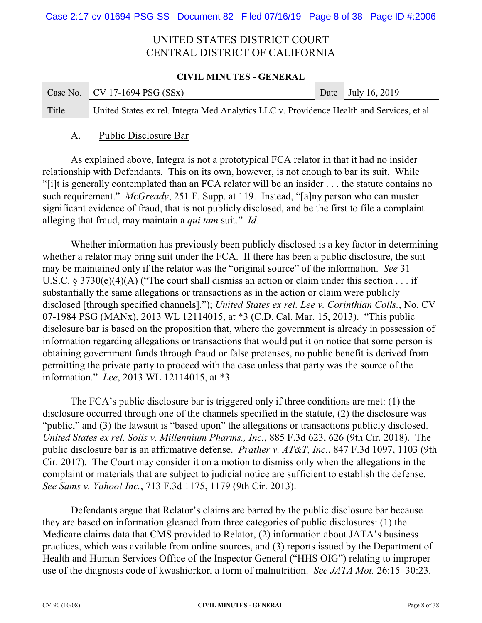### **CIVIL MINUTES - GENERAL**

|       | Case No. CV 17-1694 PSG $(SSx)$                                                           | Date July 16, 2019 |
|-------|-------------------------------------------------------------------------------------------|--------------------|
| Title | United States ex rel. Integra Med Analytics LLC v. Providence Health and Services, et al. |                    |

### A. Public Disclosure Bar

As explained above, Integra is not a prototypical FCA relator in that it had no insider relationship with Defendants. This on its own, however, is not enough to bar its suit. While "[i]t is generally contemplated than an FCA relator will be an insider . . . the statute contains no such requirement." *McGready*, 251 F. Supp. at 119. Instead, "[a]ny person who can muster significant evidence of fraud, that is not publicly disclosed, and be the first to file a complaint alleging that fraud, may maintain a *qui tam* suit." *Id.*

Whether information has previously been publicly disclosed is a key factor in determining whether a relator may bring suit under the FCA. If there has been a public disclosure, the suit may be maintained only if the relator was the "original source" of the information. *See* 31 U.S.C. § 3730(e)(4)(A) ("The court shall dismiss an action or claim under this section . . . if substantially the same allegations or transactions as in the action or claim were publicly disclosed [through specified channels]."); *United States ex rel. Lee v. Corinthian Colls.*, No. CV 07-1984 PSG (MANx), 2013 WL 12114015, at \*3 (C.D. Cal. Mar. 15, 2013). "This public disclosure bar is based on the proposition that, where the government is already in possession of information regarding allegations or transactions that would put it on notice that some person is obtaining government funds through fraud or false pretenses, no public benefit is derived from permitting the private party to proceed with the case unless that party was the source of the information." *Lee*, 2013 WL 12114015, at \*3.

The FCA's public disclosure bar is triggered only if three conditions are met: (1) the disclosure occurred through one of the channels specified in the statute, (2) the disclosure was "public," and (3) the lawsuit is "based upon" the allegations or transactions publicly disclosed. *United States ex rel. Solis v. Millennium Pharms., Inc.*, 885 F.3d 623, 626 (9th Cir. 2018). The public disclosure bar is an affirmative defense. *Prather v. AT&T, Inc.*, 847 F.3d 1097, 1103 (9th Cir. 2017). The Court may consider it on a motion to dismiss only when the allegations in the complaint or materials that are subject to judicial notice are sufficient to establish the defense. *See Sams v. Yahoo! Inc.*, 713 F.3d 1175, 1179 (9th Cir. 2013).

Defendants argue that Relator's claims are barred by the public disclosure bar because they are based on information gleaned from three categories of public disclosures: (1) the Medicare claims data that CMS provided to Relator, (2) information about JATA's business practices, which was available from online sources, and (3) reports issued by the Department of Health and Human Services Office of the Inspector General ("HHS OIG") relating to improper use of the diagnosis code of kwashiorkor, a form of malnutrition. *See JATA Mot.* 26:15–30:23.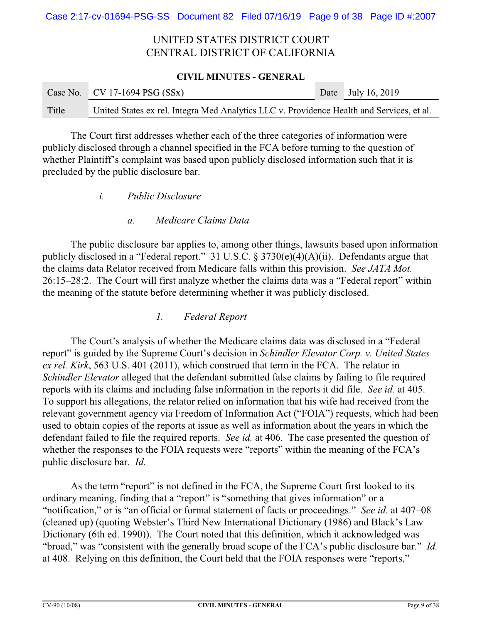### **CIVIL MINUTES - GENERAL**

|       | Case No. $\vert$ CV 17-1694 PSG (SSx)                                                     | Date July 16, 2019 |
|-------|-------------------------------------------------------------------------------------------|--------------------|
| Title | United States ex rel. Integra Med Analytics LLC v. Providence Health and Services, et al. |                    |

The Court first addresses whether each of the three categories of information were publicly disclosed through a channel specified in the FCA before turning to the question of whether Plaintiff's complaint was based upon publicly disclosed information such that it is precluded by the public disclosure bar.

- *i. Public Disclosure*
	- *a. Medicare Claims Data*

The public disclosure bar applies to, among other things, lawsuits based upon information publicly disclosed in a "Federal report." 31 U.S.C. § 3730(e)(4)(A)(ii). Defendants argue that the claims data Relator received from Medicare falls within this provision. *See JATA Mot.* 26:15–28:2. The Court will first analyze whether the claims data was a "Federal report" within the meaning of the statute before determining whether it was publicly disclosed.

## *1. Federal Report*

The Court's analysis of whether the Medicare claims data was disclosed in a "Federal report" is guided by the Supreme Court's decision in *Schindler Elevator Corp. v. United States ex rel. Kirk*, 563 U.S. 401 (2011), which construed that term in the FCA. The relator in *Schindler Elevator* alleged that the defendant submitted false claims by failing to file required reports with its claims and including false information in the reports it did file. *See id.* at 405. To support his allegations, the relator relied on information that his wife had received from the relevant government agency via Freedom of Information Act ("FOIA") requests, which had been used to obtain copies of the reports at issue as well as information about the years in which the defendant failed to file the required reports. *See id.* at 406. The case presented the question of whether the responses to the FOIA requests were "reports" within the meaning of the FCA's public disclosure bar. *Id.*

As the term "report" is not defined in the FCA, the Supreme Court first looked to its ordinary meaning, finding that a "report" is "something that gives information" or a "notification," or is "an official or formal statement of facts or proceedings." *See id.* at 407–08 (cleaned up) (quoting Webster's Third New International Dictionary (1986) and Black's Law Dictionary (6th ed. 1990)). The Court noted that this definition, which it acknowledged was "broad," was "consistent with the generally broad scope of the FCA's public disclosure bar." *Id.* at 408. Relying on this definition, the Court held that the FOIA responses were "reports,"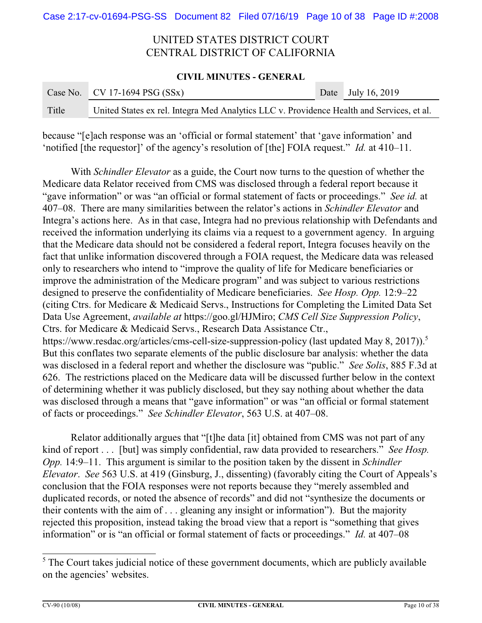### **CIVIL MINUTES - GENERAL**

|       | Case No. CV 17-1694 PSG $(SSx)$                                                           | Date July 16, 2019 |
|-------|-------------------------------------------------------------------------------------------|--------------------|
| Title | United States ex rel. Integra Med Analytics LLC v. Providence Health and Services, et al. |                    |

because "[e]ach response was an 'official or formal statement' that 'gave information' and 'notified [the requestor]' of the agency's resolution of [the] FOIA request." *Id.* at 410–11.

With *Schindler Elevator* as a guide, the Court now turns to the question of whether the Medicare data Relator received from CMS was disclosed through a federal report because it "gave information" or was "an official or formal statement of facts or proceedings." *See id.* at 407–08. There are many similarities between the relator's actions in *Schindler Elevator* and Integra's actions here. As in that case, Integra had no previous relationship with Defendants and received the information underlying its claims via a request to a government agency. In arguing that the Medicare data should not be considered a federal report, Integra focuses heavily on the fact that unlike information discovered through a FOIA request, the Medicare data was released only to researchers who intend to "improve the quality of life for Medicare beneficiaries or improve the administration of the Medicare program" and was subject to various restrictions designed to preserve the confidentiality of Medicare beneficiaries. *See Hosp. Opp.* 12:9–22 (citing Ctrs. for Medicare & Medicaid Servs., Instructions for Completing the Limited Data Set Data Use Agreement, *available at* https://goo.gl/HJMiro; *CMS Cell Size Suppression Policy*, Ctrs. for Medicare & Medicaid Servs., Research Data Assistance Ctr., https://www.resdac.org/articles/cms-cell-size-suppression-policy (last updated May 8, 2017)).<sup>5</sup> But this conflates two separate elements of the public disclosure bar analysis: whether the data was disclosed in a federal report and whether the disclosure was "public." *See Solis*, 885 F.3d at 626. The restrictions placed on the Medicare data will be discussed further below in the context of determining whether it was publicly disclosed, but they say nothing about whether the data was disclosed through a means that "gave information" or was "an official or formal statement of facts or proceedings." *See Schindler Elevator*, 563 U.S. at 407–08.

Relator additionally argues that "[t]he data [it] obtained from CMS was not part of any kind of report . . . [but] was simply confidential, raw data provided to researchers." *See Hosp. Opp.* 14:9–11. This argument is similar to the position taken by the dissent in *Schindler Elevator*. *See* 563 U.S. at 419 (Ginsburg, J., dissenting) (favorably citing the Court of Appeals's conclusion that the FOIA responses were not reports because they "merely assembled and duplicated records, or noted the absence of records" and did not "synthesize the documents or their contents with the aim of . . . gleaning any insight or information"). But the majority rejected this proposition, instead taking the broad view that a report is "something that gives information" or is "an official or formal statement of facts or proceedings." *Id.* at 407–08

<sup>&</sup>lt;sup>5</sup> The Court takes judicial notice of these government documents, which are publicly available on the agencies' websites.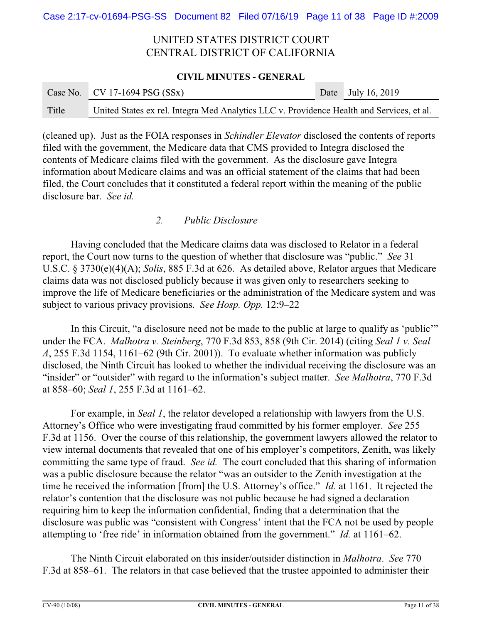### **CIVIL MINUTES - GENERAL**

|       | Case No. CV 17-1694 PSG $(SSx)$                                                           | Date July 16, 2019 |
|-------|-------------------------------------------------------------------------------------------|--------------------|
| Title | United States ex rel. Integra Med Analytics LLC v. Providence Health and Services, et al. |                    |

(cleaned up). Just as the FOIA responses in *Schindler Elevator* disclosed the contents of reports filed with the government, the Medicare data that CMS provided to Integra disclosed the contents of Medicare claims filed with the government. As the disclosure gave Integra information about Medicare claims and was an official statement of the claims that had been filed, the Court concludes that it constituted a federal report within the meaning of the public disclosure bar. *See id.*

## *2. Public Disclosure*

Having concluded that the Medicare claims data was disclosed to Relator in a federal report, the Court now turns to the question of whether that disclosure was "public." *See* 31 U.S.C. § 3730(e)(4)(A); *Solis*, 885 F.3d at 626. As detailed above, Relator argues that Medicare claims data was not disclosed publicly because it was given only to researchers seeking to improve the life of Medicare beneficiaries or the administration of the Medicare system and was subject to various privacy provisions. *See Hosp. Opp.* 12:9–22

In this Circuit, "a disclosure need not be made to the public at large to qualify as 'public'" under the FCA. *Malhotra v. Steinberg*, 770 F.3d 853, 858 (9th Cir. 2014) (citing *Seal 1 v. Seal A*, 255 F.3d 1154, 1161–62 (9th Cir. 2001)). To evaluate whether information was publicly disclosed, the Ninth Circuit has looked to whether the individual receiving the disclosure was an "insider" or "outsider" with regard to the information's subject matter. *See Malhotra*, 770 F.3d at 858–60; *Seal 1*, 255 F.3d at 1161–62.

For example, in *Seal 1*, the relator developed a relationship with lawyers from the U.S. Attorney's Office who were investigating fraud committed by his former employer. *See* 255 F.3d at 1156. Over the course of this relationship, the government lawyers allowed the relator to view internal documents that revealed that one of his employer's competitors, Zenith, was likely committing the same type of fraud. *See id.* The court concluded that this sharing of information was a public disclosure because the relator "was an outsider to the Zenith investigation at the time he received the information [from] the U.S. Attorney's office." *Id.* at 1161. It rejected the relator's contention that the disclosure was not public because he had signed a declaration requiring him to keep the information confidential, finding that a determination that the disclosure was public was "consistent with Congress' intent that the FCA not be used by people attempting to 'free ride' in information obtained from the government." *Id.* at 1161–62.

The Ninth Circuit elaborated on this insider/outsider distinction in *Malhotra*. *See* 770 F.3d at 858–61. The relators in that case believed that the trustee appointed to administer their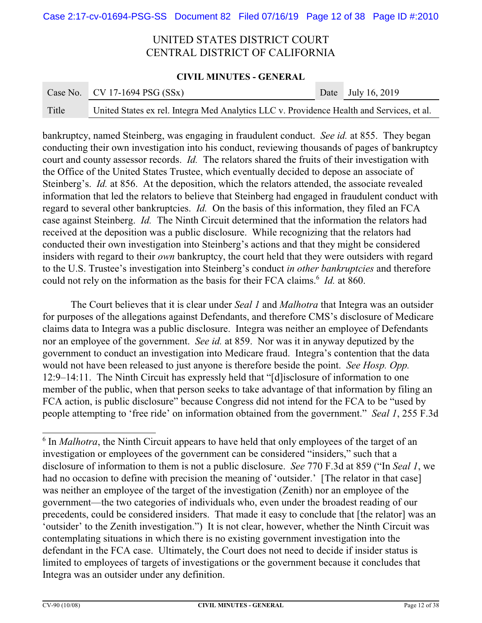### **CIVIL MINUTES - GENERAL**

|       | Case No. CV 17-1694 PSG $(SSx)$                                                           | Date July 16, 2019 |
|-------|-------------------------------------------------------------------------------------------|--------------------|
| Title | United States ex rel. Integra Med Analytics LLC v. Providence Health and Services, et al. |                    |

bankruptcy, named Steinberg, was engaging in fraudulent conduct. *See id.* at 855. They began conducting their own investigation into his conduct, reviewing thousands of pages of bankruptcy court and county assessor records. *Id.* The relators shared the fruits of their investigation with the Office of the United States Trustee, which eventually decided to depose an associate of Steinberg's. *Id.* at 856. At the deposition, which the relators attended, the associate revealed information that led the relators to believe that Steinberg had engaged in fraudulent conduct with regard to several other bankruptcies. *Id.* On the basis of this information, they filed an FCA case against Steinberg. *Id.* The Ninth Circuit determined that the information the relators had received at the deposition was a public disclosure. While recognizing that the relators had conducted their own investigation into Steinberg's actions and that they might be considered insiders with regard to their *own* bankruptcy, the court held that they were outsiders with regard to the U.S. Trustee's investigation into Steinberg's conduct *in other bankruptcies* and therefore could not rely on the information as the basis for their FCA claims.<sup>6</sup> *Id.* at 860.

The Court believes that it is clear under *Seal 1* and *Malhotra* that Integra was an outsider for purposes of the allegations against Defendants, and therefore CMS's disclosure of Medicare claims data to Integra was a public disclosure. Integra was neither an employee of Defendants nor an employee of the government. *See id.* at 859. Nor was it in anyway deputized by the government to conduct an investigation into Medicare fraud. Integra's contention that the data would not have been released to just anyone is therefore beside the point. *See Hosp. Opp.* 12:9–14:11. The Ninth Circuit has expressly held that "[d]isclosure of information to one member of the public, when that person seeks to take advantage of that information by filing an FCA action, is public disclosure" because Congress did not intend for the FCA to be "used by people attempting to 'free ride' on information obtained from the government." *Seal 1*, 255 F.3d

<sup>&</sup>lt;sup>6</sup> In *Malhotra*, the Ninth Circuit appears to have held that only employees of the target of an investigation or employees of the government can be considered "insiders," such that a disclosure of information to them is not a public disclosure. *See* 770 F.3d at 859 ("In *Seal 1*, we had no occasion to define with precision the meaning of 'outsider.' [The relator in that case] was neither an employee of the target of the investigation (Zenith) nor an employee of the government—the two categories of individuals who, even under the broadest reading of our precedents, could be considered insiders. That made it easy to conclude that [the relator] was an 'outsider' to the Zenith investigation.") It is not clear, however, whether the Ninth Circuit was contemplating situations in which there is no existing government investigation into the defendant in the FCA case. Ultimately, the Court does not need to decide if insider status is limited to employees of targets of investigations or the government because it concludes that Integra was an outsider under any definition.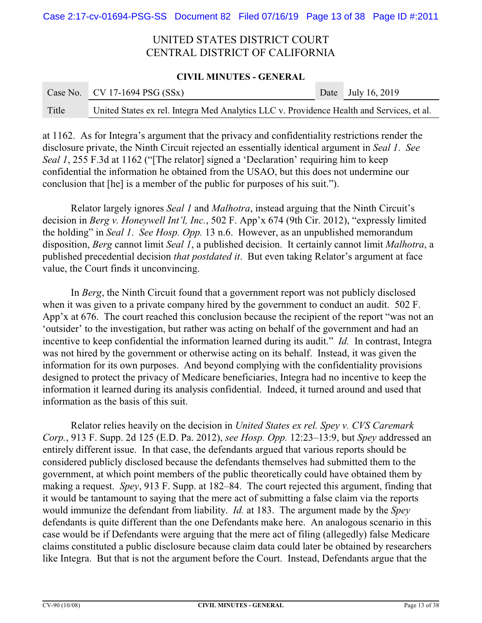### **CIVIL MINUTES - GENERAL**

|       | Case No. CV 17-1694 PSG $(SSx)$                                                           | Date July 16, 2019 |
|-------|-------------------------------------------------------------------------------------------|--------------------|
| Title | United States ex rel. Integra Med Analytics LLC v. Providence Health and Services, et al. |                    |

at 1162. As for Integra's argument that the privacy and confidentiality restrictions render the disclosure private, the Ninth Circuit rejected an essentially identical argument in *Seal 1*. *See Seal 1*, 255 F.3d at 1162 ("The relator] signed a 'Declaration' requiring him to keep confidential the information he obtained from the USAO, but this does not undermine our conclusion that [he] is a member of the public for purposes of his suit.").

Relator largely ignores *Seal 1* and *Malhotra*, instead arguing that the Ninth Circuit's decision in *Berg v. Honeywell Int'l, Inc.*, 502 F. App'x 674 (9th Cir. 2012), "expressly limited the holding" in *Seal 1*. *See Hosp. Opp.* 13 n.6. However, as an unpublished memorandum disposition, *Berg* cannot limit *Seal 1*, a published decision. It certainly cannot limit *Malhotra*, a published precedential decision *that postdated it*. But even taking Relator's argument at face value, the Court finds it unconvincing.

In *Berg*, the Ninth Circuit found that a government report was not publicly disclosed when it was given to a private company hired by the government to conduct an audit. 502 F. App'x at 676. The court reached this conclusion because the recipient of the report "was not an 'outsider' to the investigation, but rather was acting on behalf of the government and had an incentive to keep confidential the information learned during its audit." *Id.* In contrast, Integra was not hired by the government or otherwise acting on its behalf. Instead, it was given the information for its own purposes. And beyond complying with the confidentiality provisions designed to protect the privacy of Medicare beneficiaries, Integra had no incentive to keep the information it learned during its analysis confidential. Indeed, it turned around and used that information as the basis of this suit.

Relator relies heavily on the decision in *United States ex rel. Spey v. CVS Caremark Corp.*, 913 F. Supp. 2d 125 (E.D. Pa. 2012), *see Hosp. Opp.* 12:23–13:9, but *Spey* addressed an entirely different issue. In that case, the defendants argued that various reports should be considered publicly disclosed because the defendants themselves had submitted them to the government, at which point members of the public theoretically could have obtained them by making a request. *Spey*, 913 F. Supp. at 182–84. The court rejected this argument, finding that it would be tantamount to saying that the mere act of submitting a false claim via the reports would immunize the defendant from liability. *Id.* at 183. The argument made by the *Spey* defendants is quite different than the one Defendants make here. An analogous scenario in this case would be if Defendants were arguing that the mere act of filing (allegedly) false Medicare claims constituted a public disclosure because claim data could later be obtained by researchers like Integra. But that is not the argument before the Court. Instead, Defendants argue that the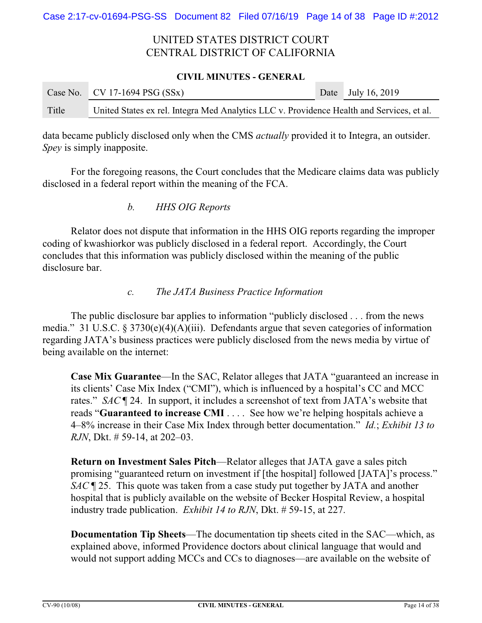### **CIVIL MINUTES - GENERAL**

|       | Case No. CV 17-1694 PSG $(SSx)$                                                           | Date July 16, 2019 |
|-------|-------------------------------------------------------------------------------------------|--------------------|
| Title | United States ex rel. Integra Med Analytics LLC v. Providence Health and Services, et al. |                    |

data became publicly disclosed only when the CMS *actually* provided it to Integra, an outsider. *Spey* is simply inapposite.

For the foregoing reasons, the Court concludes that the Medicare claims data was publicly disclosed in a federal report within the meaning of the FCA.

*b. HHS OIG Reports*

Relator does not dispute that information in the HHS OIG reports regarding the improper coding of kwashiorkor was publicly disclosed in a federal report. Accordingly, the Court concludes that this information was publicly disclosed within the meaning of the public disclosure bar.

*c. The JATA Business Practice Information*

The public disclosure bar applies to information "publicly disclosed . . . from the news media." 31 U.S.C. § 3730(e)(4)(A)(iii). Defendants argue that seven categories of information regarding JATA's business practices were publicly disclosed from the news media by virtue of being available on the internet:

**Case Mix Guarantee**—In the SAC, Relator alleges that JATA "guaranteed an increase in its clients' Case Mix Index ("CMI"), which is influenced by a hospital's CC and MCC rates." *SAC* ¶ 24. In support, it includes a screenshot of text from JATA's website that reads "**Guaranteed to increase CMI** . . . . See how we're helping hospitals achieve a 4–8% increase in their Case Mix Index through better documentation." *Id.*; *Exhibit 13 to RJN*, Dkt. # 59-14, at 202–03.

**Return on Investment Sales Pitch**—Relator alleges that JATA gave a sales pitch promising "guaranteed return on investment if [the hospital] followed [JATA]'s process." *SAC* ¶ 25. This quote was taken from a case study put together by JATA and another hospital that is publicly available on the website of Becker Hospital Review, a hospital industry trade publication. *Exhibit 14 to RJN*, Dkt. # 59-15, at 227.

**Documentation Tip Sheets**—The documentation tip sheets cited in the SAC—which, as explained above, informed Providence doctors about clinical language that would and would not support adding MCCs and CCs to diagnoses—are available on the website of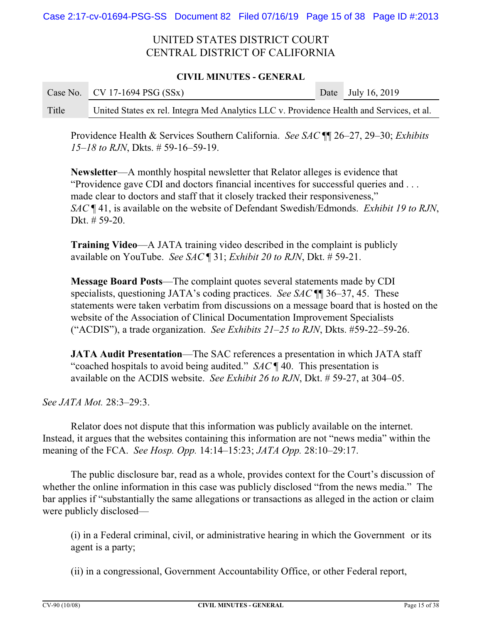### **CIVIL MINUTES - GENERAL**

|       | Case No. $\vert$ CV 17-1694 PSG (SSx)                                                     | Date July 16, 2019 |
|-------|-------------------------------------------------------------------------------------------|--------------------|
| Title | United States ex rel. Integra Med Analytics LLC v. Providence Health and Services, et al. |                    |

Providence Health & Services Southern California. *See SAC* ¶¶ 26–27, 29–30; *Exhibits 15–18 to RJN*, Dkts. # 59-16–59-19.

**Newsletter**—A monthly hospital newsletter that Relator alleges is evidence that "Providence gave CDI and doctors financial incentives for successful queries and . . . made clear to doctors and staff that it closely tracked their responsiveness," *SAC* ¶ 41, is available on the website of Defendant Swedish/Edmonds. *Exhibit 19 to RJN*, Dkt. # 59-20.

**Training Video**—A JATA training video described in the complaint is publicly available on YouTube. *See SAC* ¶ 31; *Exhibit 20 to RJN*, Dkt. # 59-21.

**Message Board Posts**—The complaint quotes several statements made by CDI specialists, questioning JATA's coding practices. *See SAC* ¶¶ 36–37, 45. These statements were taken verbatim from discussions on a message board that is hosted on the website of the Association of Clinical Documentation Improvement Specialists ("ACDIS"), a trade organization. *See Exhibits 21–25 to RJN*, Dkts. #59-22–59-26.

**JATA Audit Presentation**—The SAC references a presentation in which JATA staff "coached hospitals to avoid being audited." *SAC* ¶ 40. This presentation is available on the ACDIS website. *See Exhibit 26 to RJN*, Dkt. # 59-27, at 304–05.

*See JATA Mot.* 28:3–29:3.

Relator does not dispute that this information was publicly available on the internet. Instead, it argues that the websites containing this information are not "news media" within the meaning of the FCA. *See Hosp. Opp.* 14:14–15:23; *JATA Opp.* 28:10–29:17.

The public disclosure bar, read as a whole, provides context for the Court's discussion of whether the online information in this case was publicly disclosed "from the news media." The bar applies if "substantially the same allegations or transactions as alleged in the action or claim were publicly disclosed—

(i) in a Federal criminal, civil, or administrative hearing in which the Government or its agent is a party;

(ii) in a congressional, Government Accountability Office, or other Federal report,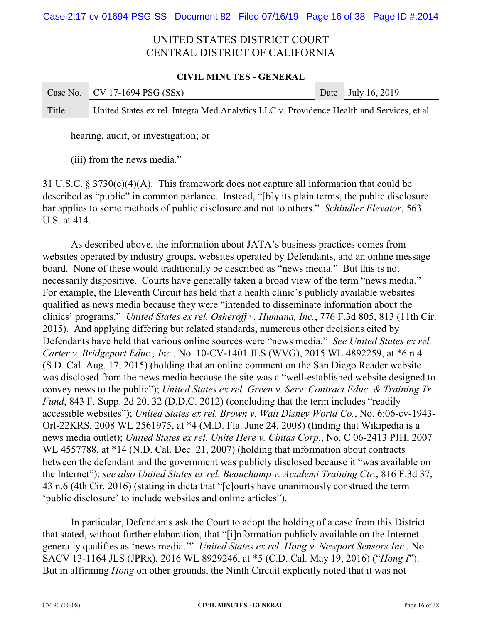### **CIVIL MINUTES - GENERAL**

|       | Case No. $\vert$ CV 17-1694 PSG (SSx)                                                     | Date July 16, 2019 |
|-------|-------------------------------------------------------------------------------------------|--------------------|
| Title | United States ex rel. Integra Med Analytics LLC v. Providence Health and Services, et al. |                    |

hearing, audit, or investigation; or

(iii) from the news media."

31 U.S.C. § 3730(e)(4)(A). This framework does not capture all information that could be described as "public" in common parlance. Instead, "[b]y its plain terms, the public disclosure bar applies to some methods of public disclosure and not to others." *Schindler Elevator*, 563 U.S. at 414.

As described above, the information about JATA's business practices comes from websites operated by industry groups, websites operated by Defendants, and an online message board. None of these would traditionally be described as "news media." But this is not necessarily dispositive. Courts have generally taken a broad view of the term "news media." For example, the Eleventh Circuit has held that a health clinic's publicly available websites qualified as news media because they were "intended to disseminate information about the clinics' programs." *United States ex rel. Osheroff v. Humana, Inc.*, 776 F.3d 805, 813 (11th Cir. 2015). And applying differing but related standards, numerous other decisions cited by Defendants have held that various online sources were "news media." *See United States ex rel. Carter v. Bridgeport Educ., Inc.*, No. 10-CV-1401 JLS (WVG), 2015 WL 4892259, at \*6 n.4 (S.D. Cal. Aug. 17, 2015) (holding that an online comment on the San Diego Reader website was disclosed from the news media because the site was a "well-established website designed to convey news to the public"); *United States ex rel. Green v. Serv. Contract Educ. & Training Tr. Fund*, 843 F. Supp. 2d 20, 32 (D.D.C. 2012) (concluding that the term includes "readily accessible websites"); *United States ex rel. Brown v. Walt Disney World Co.*, No. 6:06-cv-1943- Orl-22KRS, 2008 WL 2561975, at \*4 (M.D. Fla. June 24, 2008) (finding that Wikipedia is a news media outlet); *United States ex rel. Unite Here v. Cintas Corp.*, No. C 06-2413 PJH, 2007 WL 4557788, at \*14 (N.D. Cal. Dec. 21, 2007) (holding that information about contracts between the defendant and the government was publicly disclosed because it "was available on the Internet"); *see also United States ex rel. Beauchamp v. Academi Training Ctr.*, 816 F.3d 37, 43 n.6 (4th Cir. 2016) (stating in dicta that "[c]ourts have unanimously construed the term 'public disclosure' to include websites and online articles").

In particular, Defendants ask the Court to adopt the holding of a case from this District that stated, without further elaboration, that "[i]nformation publicly available on the Internet generally qualifies as 'news media.'" *United States ex rel. Hong v. Newport Sensors Inc.*, No. SACV 13-1164 JLS (JPRx), 2016 WL 8929246, at \*5 (C.D. Cal. May 19, 2016) ("*Hong I*"). But in affirming *Hong* on other grounds, the Ninth Circuit explicitly noted that it was not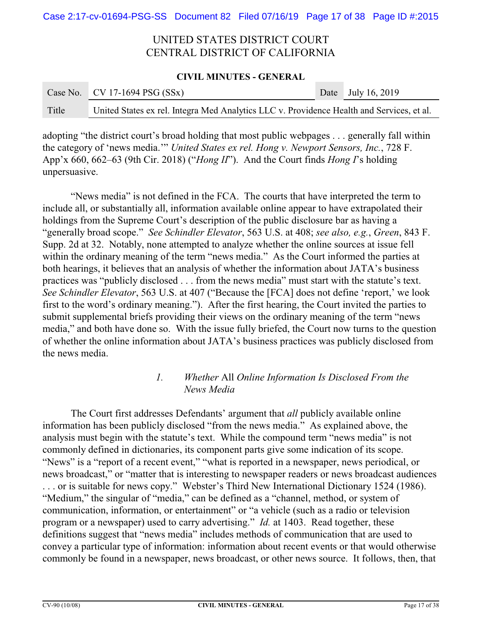### **CIVIL MINUTES - GENERAL**

|       | Case No. CV 17-1694 PSG $(SSx)$                                                           | Date July 16, 2019 |
|-------|-------------------------------------------------------------------------------------------|--------------------|
| Title | United States ex rel. Integra Med Analytics LLC v. Providence Health and Services, et al. |                    |

adopting "the district court's broad holding that most public webpages . . . generally fall within the category of 'news media.'" *United States ex rel. Hong v. Newport Sensors, Inc.*, 728 F. App'x 660, 662–63 (9th Cir. 2018) ("*Hong II*"). And the Court finds *Hong I*'s holding unpersuasive.

"News media" is not defined in the FCA. The courts that have interpreted the term to include all, or substantially all, information available online appear to have extrapolated their holdings from the Supreme Court's description of the public disclosure bar as having a "generally broad scope." *See Schindler Elevator*, 563 U.S. at 408; *see also, e.g.*, *Green*, 843 F. Supp. 2d at 32. Notably, none attempted to analyze whether the online sources at issue fell within the ordinary meaning of the term "news media." As the Court informed the parties at both hearings, it believes that an analysis of whether the information about JATA's business practices was "publicly disclosed . . . from the news media" must start with the statute's text. *See Schindler Elevator*, 563 U.S. at 407 ("Because the [FCA] does not define 'report,' we look first to the word's ordinary meaning."). After the first hearing, the Court invited the parties to submit supplemental briefs providing their views on the ordinary meaning of the term "news media," and both have done so. With the issue fully briefed, the Court now turns to the question of whether the online information about JATA's business practices was publicly disclosed from the news media.

## *1. Whether* All *Online Information Is Disclosed From the News Media*

The Court first addresses Defendants' argument that *all* publicly available online information has been publicly disclosed "from the news media." As explained above, the analysis must begin with the statute's text. While the compound term "news media" is not commonly defined in dictionaries, its component parts give some indication of its scope. "News" is a "report of a recent event," "what is reported in a newspaper, news periodical, or news broadcast," or "matter that is interesting to newspaper readers or news broadcast audiences . . . or is suitable for news copy." Webster's Third New International Dictionary 1524 (1986). "Medium," the singular of "media," can be defined as a "channel, method, or system of communication, information, or entertainment" or "a vehicle (such as a radio or television program or a newspaper) used to carry advertising." *Id.* at 1403. Read together, these definitions suggest that "news media" includes methods of communication that are used to convey a particular type of information: information about recent events or that would otherwise commonly be found in a newspaper, news broadcast, or other news source. It follows, then, that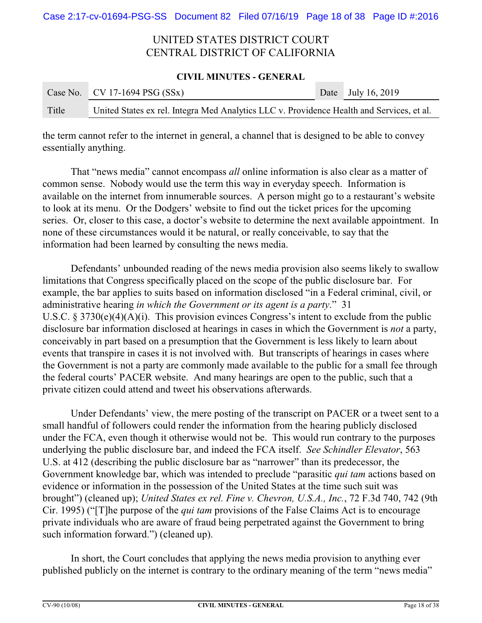### **CIVIL MINUTES - GENERAL**

|       | Case No. CV 17-1694 PSG $(SSx)$                                                           | Date July 16, 2019 |
|-------|-------------------------------------------------------------------------------------------|--------------------|
| Title | United States ex rel. Integra Med Analytics LLC v. Providence Health and Services, et al. |                    |

the term cannot refer to the internet in general, a channel that is designed to be able to convey essentially anything.

That "news media" cannot encompass *all* online information is also clear as a matter of common sense. Nobody would use the term this way in everyday speech. Information is available on the internet from innumerable sources. A person might go to a restaurant's website to look at its menu. Or the Dodgers' website to find out the ticket prices for the upcoming series. Or, closer to this case, a doctor's website to determine the next available appointment. In none of these circumstances would it be natural, or really conceivable, to say that the information had been learned by consulting the news media.

Defendants' unbounded reading of the news media provision also seems likely to swallow limitations that Congress specifically placed on the scope of the public disclosure bar. For example, the bar applies to suits based on information disclosed "in a Federal criminal, civil, or administrative hearing *in which the Government or its agent is a party*." 31 U.S.C.  $\S 3730(e)(4)(A)(i)$ . This provision evinces Congress's intent to exclude from the public disclosure bar information disclosed at hearings in cases in which the Government is *not* a party, conceivably in part based on a presumption that the Government is less likely to learn about events that transpire in cases it is not involved with. But transcripts of hearings in cases where the Government is not a party are commonly made available to the public for a small fee through the federal courts' PACER website. And many hearings are open to the public, such that a private citizen could attend and tweet his observations afterwards.

Under Defendants' view, the mere posting of the transcript on PACER or a tweet sent to a small handful of followers could render the information from the hearing publicly disclosed under the FCA, even though it otherwise would not be. This would run contrary to the purposes underlying the public disclosure bar, and indeed the FCA itself. *See Schindler Elevator*, 563 U.S. at 412 (describing the public disclosure bar as "narrower" than its predecessor, the Government knowledge bar, which was intended to preclude "parasitic *qui tam* actions based on evidence or information in the possession of the United States at the time such suit was brought") (cleaned up); *United States ex rel. Fine v. Chevron, U.S.A., Inc.*, 72 F.3d 740, 742 (9th Cir. 1995) ("[T]he purpose of the *qui tam* provisions of the False Claims Act is to encourage private individuals who are aware of fraud being perpetrated against the Government to bring such information forward.") (cleaned up).

In short, the Court concludes that applying the news media provision to anything ever published publicly on the internet is contrary to the ordinary meaning of the term "news media"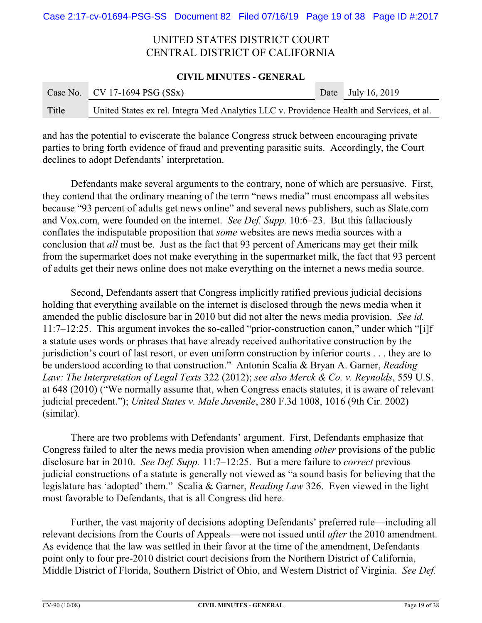### **CIVIL MINUTES - GENERAL**

|       | Case No. CV 17-1694 PSG $(SSx)$                                                           | Date July 16, 2019 |
|-------|-------------------------------------------------------------------------------------------|--------------------|
| Title | United States ex rel. Integra Med Analytics LLC v. Providence Health and Services, et al. |                    |

and has the potential to eviscerate the balance Congress struck between encouraging private parties to bring forth evidence of fraud and preventing parasitic suits. Accordingly, the Court declines to adopt Defendants' interpretation.

Defendants make several arguments to the contrary, none of which are persuasive. First, they contend that the ordinary meaning of the term "news media" must encompass all websites because "93 percent of adults get news online" and several news publishers, such as Slate.com and Vox.com, were founded on the internet. *See Def. Supp.* 10:6–23. But this fallaciously conflates the indisputable proposition that *some* websites are news media sources with a conclusion that *all* must be. Just as the fact that 93 percent of Americans may get their milk from the supermarket does not make everything in the supermarket milk, the fact that 93 percent of adults get their news online does not make everything on the internet a news media source.

Second, Defendants assert that Congress implicitly ratified previous judicial decisions holding that everything available on the internet is disclosed through the news media when it amended the public disclosure bar in 2010 but did not alter the news media provision. *See id.* 11:7–12:25. This argument invokes the so-called "prior-construction canon," under which "[i]f a statute uses words or phrases that have already received authoritative construction by the jurisdiction's court of last resort, or even uniform construction by inferior courts . . . they are to be understood according to that construction." Antonin Scalia & Bryan A. Garner, *Reading Law: The Interpretation of Legal Texts* 322 (2012); *see also Merck & Co. v. Reynolds*, 559 U.S. at 648 (2010) ("We normally assume that, when Congress enacts statutes, it is aware of relevant judicial precedent."); *United States v. Male Juvenile*, 280 F.3d 1008, 1016 (9th Cir. 2002) (similar).

There are two problems with Defendants' argument. First, Defendants emphasize that Congress failed to alter the news media provision when amending *other* provisions of the public disclosure bar in 2010. *See Def. Supp.* 11:7–12:25. But a mere failure to *correct* previous judicial constructions of a statute is generally not viewed as "a sound basis for believing that the legislature has 'adopted' them." Scalia & Garner, *Reading Law* 326. Even viewed in the light most favorable to Defendants, that is all Congress did here.

Further, the vast majority of decisions adopting Defendants' preferred rule—including all relevant decisions from the Courts of Appeals—were not issued until *after* the 2010 amendment. As evidence that the law was settled in their favor at the time of the amendment, Defendants point only to four pre-2010 district court decisions from the Northern District of California, Middle District of Florida, Southern District of Ohio, and Western District of Virginia. *See Def.*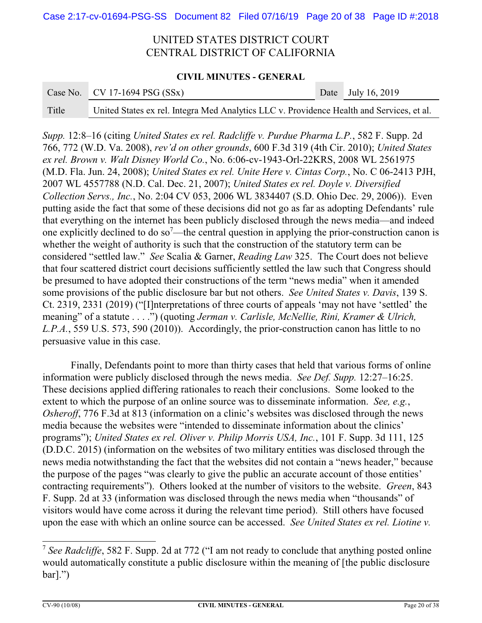### **CIVIL MINUTES - GENERAL**

|       | Case No. $\vert$ CV 17-1694 PSG (SSx)                                                     | Date July 16, 2019 |
|-------|-------------------------------------------------------------------------------------------|--------------------|
| Title | United States ex rel. Integra Med Analytics LLC v. Providence Health and Services, et al. |                    |

*Supp.* 12:8–16 (citing *United States ex rel. Radcliffe v. Purdue Pharma L.P.*, 582 F. Supp. 2d 766, 772 (W.D. Va. 2008), *rev'd on other grounds*, 600 F.3d 319 (4th Cir. 2010); *United States ex rel. Brown v. Walt Disney World Co.*, No. 6:06-cv-1943-Orl-22KRS, 2008 WL 2561975 (M.D. Fla. Jun. 24, 2008); *United States ex rel. Unite Here v. Cintas Corp.*, No. C 06-2413 PJH, 2007 WL 4557788 (N.D. Cal. Dec. 21, 2007); *United States ex rel. Doyle v. Diversified Collection Servs., Inc.*, No. 2:04 CV 053, 2006 WL 3834407 (S.D. Ohio Dec. 29, 2006)). Even putting aside the fact that some of these decisions did not go as far as adopting Defendants' rule that everything on the internet has been publicly disclosed through the news media—and indeed one explicitly declined to do so<sup>7</sup>—the central question in applying the prior-construction canon is whether the weight of authority is such that the construction of the statutory term can be considered "settled law." *See* Scalia & Garner, *Reading Law* 325. The Court does not believe that four scattered district court decisions sufficiently settled the law such that Congress should be presumed to have adopted their constructions of the term "news media" when it amended some provisions of the public disclosure bar but not others. *See United States v. Davis*, 139 S. Ct. 2319, 2331 (2019) ("[I]nterpretations of three courts of appeals 'may not have 'settled' the meaning" of a statute . . . .") (quoting *Jerman v. Carlisle, McNellie, Rini, Kramer & Ulrich, L.P.A.*, 559 U.S. 573, 590 (2010)). Accordingly, the prior-construction canon has little to no persuasive value in this case.

Finally, Defendants point to more than thirty cases that held that various forms of online information were publicly disclosed through the news media. *See Def. Supp.* 12:27–16:25. These decisions applied differing rationales to reach their conclusions. Some looked to the extent to which the purpose of an online source was to disseminate information. *See, e.g.*, *Osheroff*, 776 F.3d at 813 (information on a clinic's websites was disclosed through the news media because the websites were "intended to disseminate information about the clinics' programs"); *United States ex rel. Oliver v. Philip Morris USA, Inc.*, 101 F. Supp. 3d 111, 125 (D.D.C. 2015) (information on the websites of two military entities was disclosed through the news media notwithstanding the fact that the websites did not contain a "news header," because the purpose of the pages "was clearly to give the public an accurate account of those entities' contracting requirements"). Others looked at the number of visitors to the website. *Green*, 843 F. Supp. 2d at 33 (information was disclosed through the news media when "thousands" of visitors would have come across it during the relevant time period). Still others have focused upon the ease with which an online source can be accessed. *See United States ex rel. Liotine v.*

<sup>&</sup>lt;sup>7</sup> See Radcliffe, 582 F. Supp. 2d at 772 ("I am not ready to conclude that anything posted online would automatically constitute a public disclosure within the meaning of [the public disclosure bar].")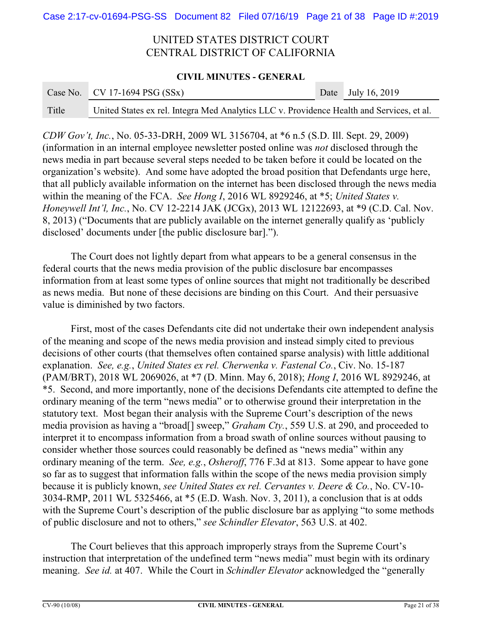### **CIVIL MINUTES - GENERAL**

|       | Case No. $\vert$ CV 17-1694 PSG (SSx)                                                     | Date July 16, 2019 |
|-------|-------------------------------------------------------------------------------------------|--------------------|
| Title | United States ex rel. Integra Med Analytics LLC v. Providence Health and Services, et al. |                    |

*CDW Gov't, Inc.*, No. 05-33-DRH, 2009 WL 3156704, at \*6 n.5 (S.D. Ill. Sept. 29, 2009) (information in an internal employee newsletter posted online was *not* disclosed through the news media in part because several steps needed to be taken before it could be located on the organization's website). And some have adopted the broad position that Defendants urge here, that all publicly available information on the internet has been disclosed through the news media within the meaning of the FCA. *See Hong I*, 2016 WL 8929246, at \*5; *United States v. Honeywell Int'l, Inc.*, No. CV 12-2214 JAK (JCGx), 2013 WL 12122693, at \*9 (C.D. Cal. Nov. 8, 2013) ("Documents that are publicly available on the internet generally qualify as 'publicly disclosed' documents under [the public disclosure bar].").

The Court does not lightly depart from what appears to be a general consensus in the federal courts that the news media provision of the public disclosure bar encompasses information from at least some types of online sources that might not traditionally be described as news media. But none of these decisions are binding on this Court. And their persuasive value is diminished by two factors.

First, most of the cases Defendants cite did not undertake their own independent analysis of the meaning and scope of the news media provision and instead simply cited to previous decisions of other courts (that themselves often contained sparse analysis) with little additional explanation. *See, e.g.*, *United States ex rel. Cherwenka v. Fastenal Co.*, Civ. No. 15-187 (PAM/BRT), 2018 WL 2069026, at \*7 (D. Minn. May 6, 2018); *Hong I*, 2016 WL 8929246, at \*5. Second, and more importantly, none of the decisions Defendants cite attempted to define the ordinary meaning of the term "news media" or to otherwise ground their interpretation in the statutory text. Most began their analysis with the Supreme Court's description of the news media provision as having a "broad[] sweep," *Graham Cty.*, 559 U.S. at 290, and proceeded to interpret it to encompass information from a broad swath of online sources without pausing to consider whether those sources could reasonably be defined as "news media" within any ordinary meaning of the term. *See, e.g.*, *Osheroff*, 776 F.3d at 813. Some appear to have gone so far as to suggest that information falls within the scope of the news media provision simply because it is publicly known, *see United States ex rel. Cervantes v. Deere & Co.*, No. CV-10- 3034-RMP, 2011 WL 5325466, at \*5 (E.D. Wash. Nov. 3, 2011), a conclusion that is at odds with the Supreme Court's description of the public disclosure bar as applying "to some methods" of public disclosure and not to others," *see Schindler Elevator*, 563 U.S. at 402.

The Court believes that this approach improperly strays from the Supreme Court's instruction that interpretation of the undefined term "news media" must begin with its ordinary meaning. *See id.* at 407. While the Court in *Schindler Elevator* acknowledged the "generally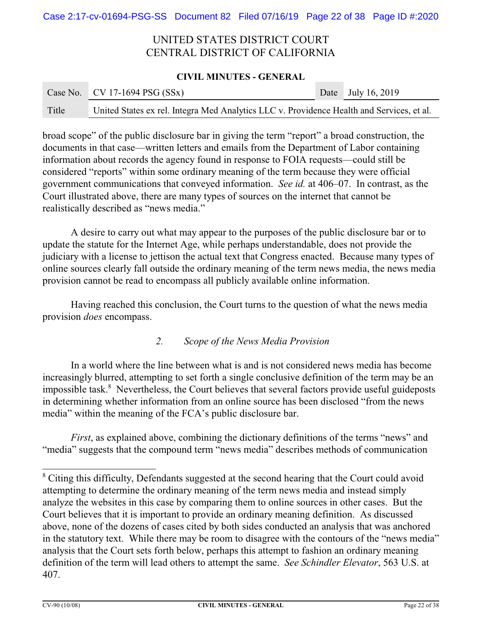### **CIVIL MINUTES - GENERAL**

|       | Case No. CV 17-1694 PSG $(SSx)$                                                           | Date July 16, 2019 |
|-------|-------------------------------------------------------------------------------------------|--------------------|
| Title | United States ex rel. Integra Med Analytics LLC v. Providence Health and Services, et al. |                    |

broad scope" of the public disclosure bar in giving the term "report" a broad construction, the documents in that case—written letters and emails from the Department of Labor containing information about records the agency found in response to FOIA requests—could still be considered "reports" within some ordinary meaning of the term because they were official government communications that conveyed information. *See id.* at 406–07. In contrast, as the Court illustrated above, there are many types of sources on the internet that cannot be realistically described as "news media."

A desire to carry out what may appear to the purposes of the public disclosure bar or to update the statute for the Internet Age, while perhaps understandable, does not provide the judiciary with a license to jettison the actual text that Congress enacted. Because many types of online sources clearly fall outside the ordinary meaning of the term news media, the news media provision cannot be read to encompass all publicly available online information.

Having reached this conclusion, the Court turns to the question of what the news media provision *does* encompass.

## *2. Scope of the News Media Provision*

In a world where the line between what is and is not considered news media has become increasingly blurred, attempting to set forth a single conclusive definition of the term may be an impossible task.<sup>8</sup> Nevertheless, the Court believes that several factors provide useful guideposts in determining whether information from an online source has been disclosed "from the news media" within the meaning of the FCA's public disclosure bar.

*First*, as explained above, combining the dictionary definitions of the terms "news" and "media" suggests that the compound term "news media" describes methods of communication

<sup>&</sup>lt;sup>8</sup> Citing this difficulty, Defendants suggested at the second hearing that the Court could avoid attempting to determine the ordinary meaning of the term news media and instead simply analyze the websites in this case by comparing them to online sources in other cases. But the Court believes that it is important to provide an ordinary meaning definition. As discussed above, none of the dozens of cases cited by both sides conducted an analysis that was anchored in the statutory text. While there may be room to disagree with the contours of the "news media" analysis that the Court sets forth below, perhaps this attempt to fashion an ordinary meaning definition of the term will lead others to attempt the same. *See Schindler Elevator*, 563 U.S. at 407.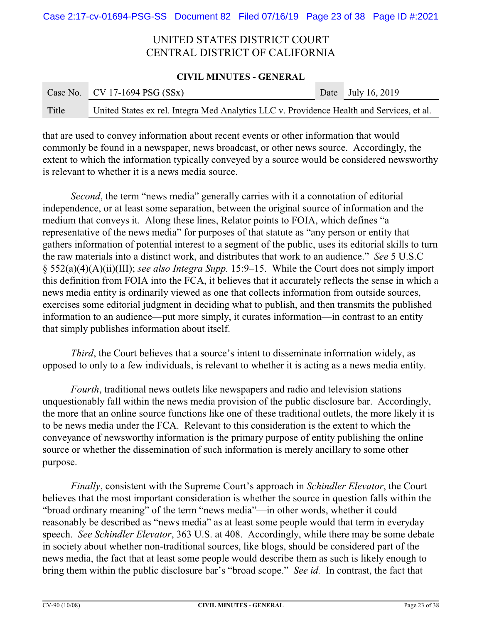### **CIVIL MINUTES - GENERAL**

|       | Case No. CV 17-1694 PSG $(SSx)$                                                           | Date July 16, 2019 |
|-------|-------------------------------------------------------------------------------------------|--------------------|
| Title | United States ex rel. Integra Med Analytics LLC v. Providence Health and Services, et al. |                    |

that are used to convey information about recent events or other information that would commonly be found in a newspaper, news broadcast, or other news source. Accordingly, the extent to which the information typically conveyed by a source would be considered newsworthy is relevant to whether it is a news media source.

*Second*, the term "news media" generally carries with it a connotation of editorial independence, or at least some separation, between the original source of information and the medium that conveys it. Along these lines, Relator points to FOIA, which defines "a representative of the news media" for purposes of that statute as "any person or entity that gathers information of potential interest to a segment of the public, uses its editorial skills to turn the raw materials into a distinct work, and distributes that work to an audience." *See* 5 U.S.C § 552(a)(4)(A)(ii)(III); *see also Integra Supp.* 15:9–15. While the Court does not simply import this definition from FOIA into the FCA, it believes that it accurately reflects the sense in which a news media entity is ordinarily viewed as one that collects information from outside sources, exercises some editorial judgment in deciding what to publish, and then transmits the published information to an audience—put more simply, it curates information—in contrast to an entity that simply publishes information about itself.

*Third*, the Court believes that a source's intent to disseminate information widely, as opposed to only to a few individuals, is relevant to whether it is acting as a news media entity.

*Fourth*, traditional news outlets like newspapers and radio and television stations unquestionably fall within the news media provision of the public disclosure bar. Accordingly, the more that an online source functions like one of these traditional outlets, the more likely it is to be news media under the FCA. Relevant to this consideration is the extent to which the conveyance of newsworthy information is the primary purpose of entity publishing the online source or whether the dissemination of such information is merely ancillary to some other purpose.

*Finally*, consistent with the Supreme Court's approach in *Schindler Elevator*, the Court believes that the most important consideration is whether the source in question falls within the "broad ordinary meaning" of the term "news media"—in other words, whether it could reasonably be described as "news media" as at least some people would that term in everyday speech. *See Schindler Elevator*, 363 U.S. at 408. Accordingly, while there may be some debate in society about whether non-traditional sources, like blogs, should be considered part of the news media, the fact that at least some people would describe them as such is likely enough to bring them within the public disclosure bar's "broad scope." *See id.* In contrast, the fact that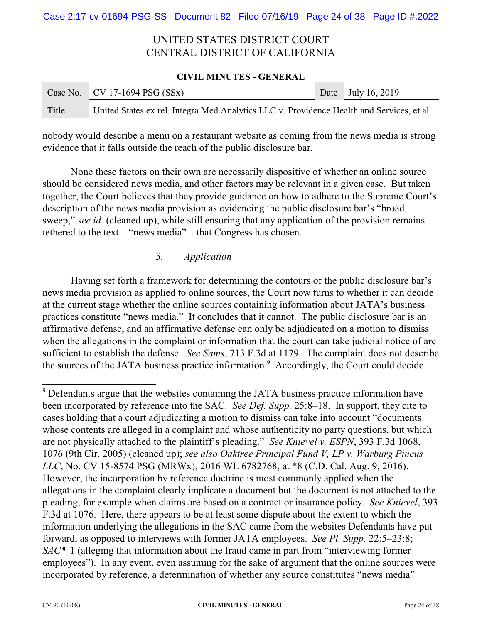### **CIVIL MINUTES - GENERAL**

|       | Case No. CV 17-1694 PSG $(SSx)$                                                           | Date July 16, 2019 |
|-------|-------------------------------------------------------------------------------------------|--------------------|
| Title | United States ex rel. Integra Med Analytics LLC v. Providence Health and Services, et al. |                    |

nobody would describe a menu on a restaurant website as coming from the news media is strong evidence that it falls outside the reach of the public disclosure bar.

None these factors on their own are necessarily dispositive of whether an online source should be considered news media, and other factors may be relevant in a given case. But taken together, the Court believes that they provide guidance on how to adhere to the Supreme Court's description of the news media provision as evidencing the public disclosure bar's "broad sweep," *see id.* (cleaned up), while still ensuring that any application of the provision remains tethered to the text—"news media"—that Congress has chosen.

## *3. Application*

Having set forth a framework for determining the contours of the public disclosure bar's news media provision as applied to online sources, the Court now turns to whether it can decide at the current stage whether the online sources containing information about JATA's business practices constitute "news media." It concludes that it cannot. The public disclosure bar is an affirmative defense, and an affirmative defense can only be adjudicated on a motion to dismiss when the allegations in the complaint or information that the court can take judicial notice of are sufficient to establish the defense. *See Sams*, 713 F.3d at 1179. The complaint does not describe the sources of the JATA business practice information.<sup>9</sup> Accordingly, the Court could decide

<sup>9</sup> Defendants argue that the websites containing the JATA business practice information have been incorporated by reference into the SAC. *See Def. Supp.* 25:8–18. In support, they cite to cases holding that a court adjudicating a motion to dismiss can take into account "documents whose contents are alleged in a complaint and whose authenticity no party questions, but which are not physically attached to the plaintiff's pleading." *See Knievel v. ESPN*, 393 F.3d 1068, 1076 (9th Cir. 2005) (cleaned up); *see also Oaktree Principal Fund V, LP v. Warburg Pincus LLC*, No. CV 15-8574 PSG (MRWx), 2016 WL 6782768, at \*8 (C.D. Cal. Aug. 9, 2016). However, the incorporation by reference doctrine is most commonly applied when the allegations in the complaint clearly implicate a document but the document is not attached to the pleading, for example when claims are based on a contract or insurance policy. *See Knievel*, 393 F.3d at 1076. Here, there appears to be at least some dispute about the extent to which the information underlying the allegations in the SAC came from the websites Defendants have put forward, as opposed to interviews with former JATA employees. *See Pl. Supp.* 22:5–23:8; *SAC* ¶ 1 (alleging that information about the fraud came in part from "interviewing former employees"). In any event, even assuming for the sake of argument that the online sources were incorporated by reference, a determination of whether any source constitutes "news media"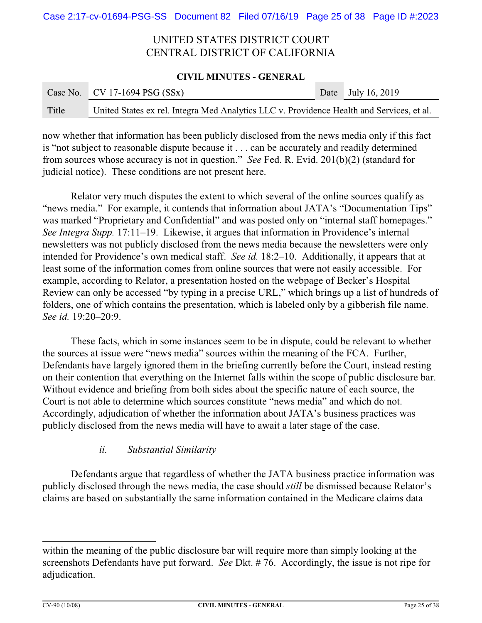### **CIVIL MINUTES - GENERAL**

|       | Case No. CV 17-1694 PSG $(SSx)$                                                           | Date July 16, 2019 |
|-------|-------------------------------------------------------------------------------------------|--------------------|
| Title | United States ex rel. Integra Med Analytics LLC v. Providence Health and Services, et al. |                    |

now whether that information has been publicly disclosed from the news media only if this fact is "not subject to reasonable dispute because it . . . can be accurately and readily determined from sources whose accuracy is not in question." *See* Fed. R. Evid. 201(b)(2) (standard for judicial notice). These conditions are not present here.

Relator very much disputes the extent to which several of the online sources qualify as "news media." For example, it contends that information about JATA's "Documentation Tips" was marked "Proprietary and Confidential" and was posted only on "internal staff homepages." *See Integra Supp.* 17:11–19. Likewise, it argues that information in Providence's internal newsletters was not publicly disclosed from the news media because the newsletters were only intended for Providence's own medical staff. *See id.* 18:2–10. Additionally, it appears that at least some of the information comes from online sources that were not easily accessible. For example, according to Relator, a presentation hosted on the webpage of Becker's Hospital Review can only be accessed "by typing in a precise URL," which brings up a list of hundreds of folders, one of which contains the presentation, which is labeled only by a gibberish file name. *See id.* 19:20–20:9.

These facts, which in some instances seem to be in dispute, could be relevant to whether the sources at issue were "news media" sources within the meaning of the FCA. Further, Defendants have largely ignored them in the briefing currently before the Court, instead resting on their contention that everything on the Internet falls within the scope of public disclosure bar. Without evidence and briefing from both sides about the specific nature of each source, the Court is not able to determine which sources constitute "news media" and which do not. Accordingly, adjudication of whether the information about JATA's business practices was publicly disclosed from the news media will have to await a later stage of the case.

## *ii. Substantial Similarity*

Defendants argue that regardless of whether the JATA business practice information was publicly disclosed through the news media, the case should *still* be dismissed because Relator's claims are based on substantially the same information contained in the Medicare claims data

within the meaning of the public disclosure bar will require more than simply looking at the screenshots Defendants have put forward. *See* Dkt. # 76. Accordingly, the issue is not ripe for adjudication.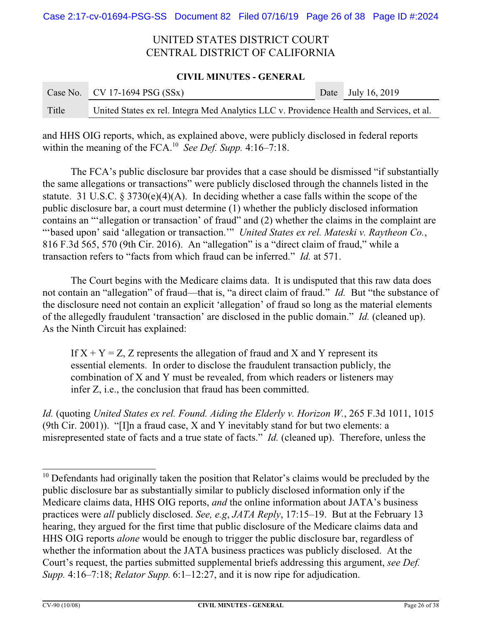### **CIVIL MINUTES - GENERAL**

|       | Case No. CV 17-1694 PSG $(SSx)$                                                           | Date July 16, 2019 |
|-------|-------------------------------------------------------------------------------------------|--------------------|
| Title | United States ex rel. Integra Med Analytics LLC v. Providence Health and Services, et al. |                    |

and HHS OIG reports, which, as explained above, were publicly disclosed in federal reports within the meaning of the FCA.<sup>10</sup> *See Def. Supp.* 4:16–7:18.

The FCA's public disclosure bar provides that a case should be dismissed "if substantially the same allegations or transactions" were publicly disclosed through the channels listed in the statute. 31 U.S.C. § 3730(e)(4)(A). In deciding whether a case falls within the scope of the public disclosure bar, a court must determine (1) whether the publicly disclosed information contains an "'allegation or transaction' of fraud" and (2) whether the claims in the complaint are "'based upon' said 'allegation or transaction.'" *United States ex rel. Mateski v. Raytheon Co.*, 816 F.3d 565, 570 (9th Cir. 2016). An "allegation" is a "direct claim of fraud," while a transaction refers to "facts from which fraud can be inferred." *Id.* at 571.

The Court begins with the Medicare claims data. It is undisputed that this raw data does not contain an "allegation" of fraud—that is, "a direct claim of fraud." *Id.* But "the substance of the disclosure need not contain an explicit 'allegation' of fraud so long as the material elements of the allegedly fraudulent 'transaction' are disclosed in the public domain." *Id.* (cleaned up). As the Ninth Circuit has explained:

If  $X + Y = Z$ , Z represents the allegation of fraud and X and Y represent its essential elements. In order to disclose the fraudulent transaction publicly, the combination of X and Y must be revealed, from which readers or listeners may infer Z, i.e., the conclusion that fraud has been committed.

*Id.* (quoting *United States ex rel. Found. Aiding the Elderly v. Horizon W.*, 265 F.3d 1011, 1015 (9th Cir. 2001)). "[I]n a fraud case, X and Y inevitably stand for but two elements: a misrepresented state of facts and a true state of facts." *Id.* (cleaned up). Therefore, unless the

<sup>&</sup>lt;sup>10</sup> Defendants had originally taken the position that Relator's claims would be precluded by the public disclosure bar as substantially similar to publicly disclosed information only if the Medicare claims data, HHS OIG reports, *and* the online information about JATA's business practices were *all* publicly disclosed. *See, e.g*, *JATA Reply*, 17:15–19. But at the February 13 hearing, they argued for the first time that public disclosure of the Medicare claims data and HHS OIG reports *alone* would be enough to trigger the public disclosure bar, regardless of whether the information about the JATA business practices was publicly disclosed. At the Court's request, the parties submitted supplemental briefs addressing this argument, *see Def. Supp.* 4:16–7:18; *Relator Supp.* 6:1–12:27, and it is now ripe for adjudication.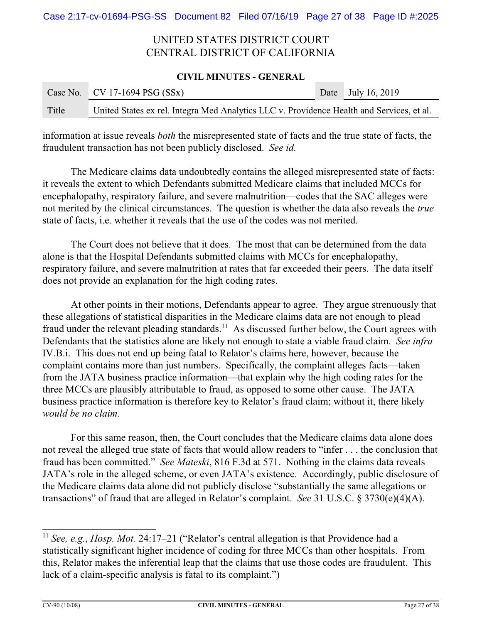### **CIVIL MINUTES - GENERAL**

|       | Case No. CV 17-1694 PSG $(SSx)$                                                           | Date July 16, 2019 |
|-------|-------------------------------------------------------------------------------------------|--------------------|
| Title | United States ex rel. Integra Med Analytics LLC v. Providence Health and Services, et al. |                    |

information at issue reveals *both* the misrepresented state of facts and the true state of facts, the fraudulent transaction has not been publicly disclosed. *See id.*

The Medicare claims data undoubtedly contains the alleged misrepresented state of facts: it reveals the extent to which Defendants submitted Medicare claims that included MCCs for encephalopathy, respiratory failure, and severe malnutrition—codes that the SAC alleges were not merited by the clinical circumstances. The question is whether the data also reveals the *true* state of facts, i.e. whether it reveals that the use of the codes was not merited.

The Court does not believe that it does. The most that can be determined from the data alone is that the Hospital Defendants submitted claims with MCCs for encephalopathy, respiratory failure, and severe malnutrition at rates that far exceeded their peers. The data itself does not provide an explanation for the high coding rates.

At other points in their motions, Defendants appear to agree. They argue strenuously that these allegations of statistical disparities in the Medicare claims data are not enough to plead fraud under the relevant pleading standards.<sup>11</sup> As discussed further below, the Court agrees with Defendants that the statistics alone are likely not enough to state a viable fraud claim. *See infra* IV.B.i. This does not end up being fatal to Relator's claims here, however, because the complaint contains more than just numbers. Specifically, the complaint alleges facts—taken from the JATA business practice information—that explain why the high coding rates for the three MCCs are plausibly attributable to fraud, as opposed to some other cause. The JATA business practice information is therefore key to Relator's fraud claim; without it, there likely *would be no claim*.

For this same reason, then, the Court concludes that the Medicare claims data alone does not reveal the alleged true state of facts that would allow readers to "infer . . . the conclusion that fraud has been committed." *See Mateski*, 816 F.3d at 571. Nothing in the claims data reveals JATA's role in the alleged scheme, or even JATA's existence. Accordingly, public disclosure of the Medicare claims data alone did not publicly disclose "substantially the same allegations or transactions" of fraud that are alleged in Relator's complaint. *See* 31 U.S.C. § 3730(e)(4)(A).

<sup>11</sup> *See, e.g.*, *Hosp. Mot.* 24:17–21 ("Relator's central allegation is that Providence had a statistically significant higher incidence of coding for three MCCs than other hospitals. From this, Relator makes the inferential leap that the claims that use those codes are fraudulent. This lack of a claim-specific analysis is fatal to its complaint.")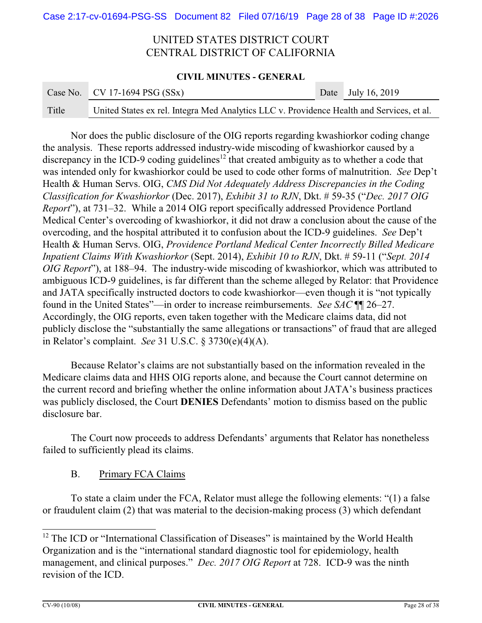### **CIVIL MINUTES - GENERAL**

|       | Case No. CV 17-1694 PSG $(SSx)$                                                           | Date July 16, 2019 |
|-------|-------------------------------------------------------------------------------------------|--------------------|
| Title | United States ex rel. Integra Med Analytics LLC v. Providence Health and Services, et al. |                    |

Nor does the public disclosure of the OIG reports regarding kwashiorkor coding change the analysis. These reports addressed industry-wide miscoding of kwashiorkor caused by a discrepancy in the ICD-9 coding guidelines<sup>12</sup> that created ambiguity as to whether a code that was intended only for kwashiorkor could be used to code other forms of malnutrition. *See* Dep't Health & Human Servs. OIG, *CMS Did Not Adequately Address Discrepancies in the Coding Classification for Kwashiorkor* (Dec. 2017), *Exhibit 31 to RJN*, Dkt. # 59-35 ("*Dec. 2017 OIG Report*"), at 731–32. While a 2014 OIG report specifically addressed Providence Portland Medical Center's overcoding of kwashiorkor, it did not draw a conclusion about the cause of the overcoding, and the hospital attributed it to confusion about the ICD-9 guidelines. *See* Dep't Health & Human Servs. OIG, *Providence Portland Medical Center Incorrectly Billed Medicare Inpatient Claims With Kwashiorkor* (Sept. 2014), *Exhibit 10 to RJN*, Dkt. # 59-11 ("*Sept. 2014 OIG Report*"), at 188–94. The industry-wide miscoding of kwashiorkor, which was attributed to ambiguous ICD-9 guidelines, is far different than the scheme alleged by Relator: that Providence and JATA specifically instructed doctors to code kwashiorkor—even though it is "not typically found in the United States"—in order to increase reimbursements. *See SAC* ¶¶ 26–27. Accordingly, the OIG reports, even taken together with the Medicare claims data, did not publicly disclose the "substantially the same allegations or transactions" of fraud that are alleged in Relator's complaint. *See* 31 U.S.C. § 3730(e)(4)(A).

Because Relator's claims are not substantially based on the information revealed in the Medicare claims data and HHS OIG reports alone, and because the Court cannot determine on the current record and briefing whether the online information about JATA's business practices was publicly disclosed, the Court **DENIES** Defendants' motion to dismiss based on the public disclosure bar.

The Court now proceeds to address Defendants' arguments that Relator has nonetheless failed to sufficiently plead its claims.

B. Primary FCA Claims

To state a claim under the FCA, Relator must allege the following elements: "(1) a false or fraudulent claim (2) that was material to the decision-making process (3) which defendant

<sup>&</sup>lt;sup>12</sup> The ICD or "International Classification of Diseases" is maintained by the World Health Organization and is the "international standard diagnostic tool for epidemiology, health management, and clinical purposes." *Dec. 2017 OIG Report* at 728. ICD-9 was the ninth revision of the ICD.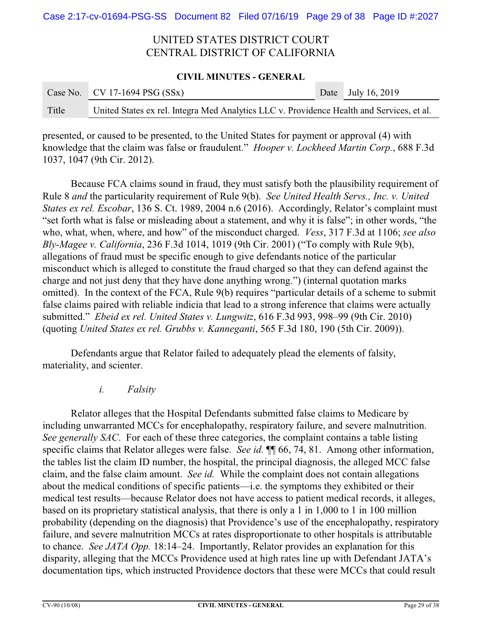### **CIVIL MINUTES - GENERAL**

|       | Case No. CV 17-1694 PSG $(SSx)$                                                           | Date July 16, 2019 |
|-------|-------------------------------------------------------------------------------------------|--------------------|
| Title | United States ex rel. Integra Med Analytics LLC v. Providence Health and Services, et al. |                    |

presented, or caused to be presented, to the United States for payment or approval (4) with knowledge that the claim was false or fraudulent." *Hooper v. Lockheed Martin Corp.*, 688 F.3d 1037, 1047 (9th Cir. 2012).

Because FCA claims sound in fraud, they must satisfy both the plausibility requirement of Rule 8 *and* the particularity requirement of Rule 9(b). *See United Health Servs., Inc. v. United States ex rel. Escobar*, 136 S. Ct. 1989, 2004 n.6 (2016). Accordingly, Relator's complaint must "set forth what is false or misleading about a statement, and why it is false"; in other words, "the who, what, when, where, and how" of the misconduct charged. *Vess*, 317 F.3d at 1106; *see also Bly-Magee v. California*, 236 F.3d 1014, 1019 (9th Cir. 2001) ("To comply with Rule 9(b), allegations of fraud must be specific enough to give defendants notice of the particular misconduct which is alleged to constitute the fraud charged so that they can defend against the charge and not just deny that they have done anything wrong.") (internal quotation marks omitted). In the context of the FCA, Rule 9(b) requires "particular details of a scheme to submit false claims paired with reliable indicia that lead to a strong inference that claims were actually submitted." *Ebeid ex rel. United States v. Lungwitz*, 616 F.3d 993, 998–99 (9th Cir. 2010) (quoting *United States ex rel. Grubbs v. Kanneganti*, 565 F.3d 180, 190 (5th Cir. 2009)).

Defendants argue that Relator failed to adequately plead the elements of falsity, materiality, and scienter.

*i. Falsity*

Relator alleges that the Hospital Defendants submitted false claims to Medicare by including unwarranted MCCs for encephalopathy, respiratory failure, and severe malnutrition. *See generally SAC*. For each of these three categories, the complaint contains a table listing specific claims that Relator alleges were false. *See id*.  $\P$  66, 74, 81. Among other information, the tables list the claim ID number, the hospital, the principal diagnosis, the alleged MCC false claim, and the false claim amount. *See id.* While the complaint does not contain allegations about the medical conditions of specific patients—i.e. the symptoms they exhibited or their medical test results—because Relator does not have access to patient medical records, it alleges, based on its proprietary statistical analysis, that there is only a 1 in 1,000 to 1 in 100 million probability (depending on the diagnosis) that Providence's use of the encephalopathy, respiratory failure, and severe malnutrition MCCs at rates disproportionate to other hospitals is attributable to chance. *See JATA Opp.* 18:14–24. Importantly, Relator provides an explanation for this disparity, alleging that the MCCs Providence used at high rates line up with Defendant JATA's documentation tips, which instructed Providence doctors that these were MCCs that could result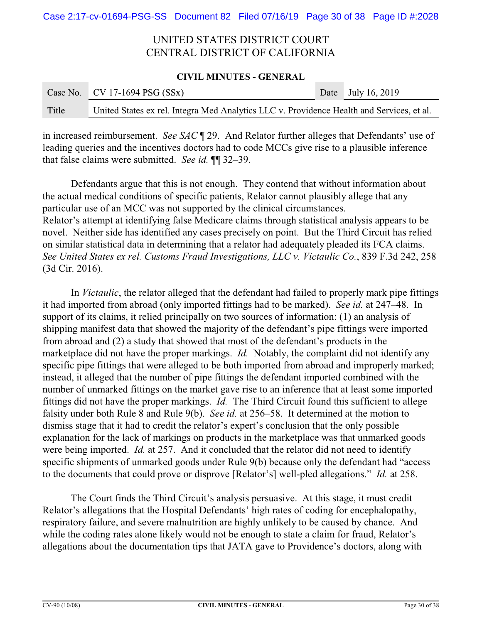#### **CIVIL MINUTES - GENERAL**

|       | Case No. CV 17-1694 PSG $(SSx)$                                                           | Date July 16, 2019 |
|-------|-------------------------------------------------------------------------------------------|--------------------|
| Title | United States ex rel. Integra Med Analytics LLC v. Providence Health and Services, et al. |                    |

in increased reimbursement. *See SAC* ¶ 29. And Relator further alleges that Defendants' use of leading queries and the incentives doctors had to code MCCs give rise to a plausible inference that false claims were submitted. *See id.* ¶¶ 32–39.

Defendants argue that this is not enough. They contend that without information about the actual medical conditions of specific patients, Relator cannot plausibly allege that any particular use of an MCC was not supported by the clinical circumstances. Relator's attempt at identifying false Medicare claims through statistical analysis appears to be novel. Neither side has identified any cases precisely on point. But the Third Circuit has relied on similar statistical data in determining that a relator had adequately pleaded its FCA claims. *See United States ex rel. Customs Fraud Investigations, LLC v. Victaulic Co.*, 839 F.3d 242, 258 (3d Cir. 2016).

In *Victaulic*, the relator alleged that the defendant had failed to properly mark pipe fittings it had imported from abroad (only imported fittings had to be marked). *See id.* at 247–48. In support of its claims, it relied principally on two sources of information: (1) an analysis of shipping manifest data that showed the majority of the defendant's pipe fittings were imported from abroad and (2) a study that showed that most of the defendant's products in the marketplace did not have the proper markings. *Id.* Notably, the complaint did not identify any specific pipe fittings that were alleged to be both imported from abroad and improperly marked; instead, it alleged that the number of pipe fittings the defendant imported combined with the number of unmarked fittings on the market gave rise to an inference that at least some imported fittings did not have the proper markings. *Id.* The Third Circuit found this sufficient to allege falsity under both Rule 8 and Rule 9(b). *See id.* at 256–58. It determined at the motion to dismiss stage that it had to credit the relator's expert's conclusion that the only possible explanation for the lack of markings on products in the marketplace was that unmarked goods were being imported. *Id.* at 257. And it concluded that the relator did not need to identify specific shipments of unmarked goods under Rule 9(b) because only the defendant had "access to the documents that could prove or disprove [Relator's] well-pled allegations." *Id.* at 258.

The Court finds the Third Circuit's analysis persuasive. At this stage, it must credit Relator's allegations that the Hospital Defendants' high rates of coding for encephalopathy, respiratory failure, and severe malnutrition are highly unlikely to be caused by chance. And while the coding rates alone likely would not be enough to state a claim for fraud, Relator's allegations about the documentation tips that JATA gave to Providence's doctors, along with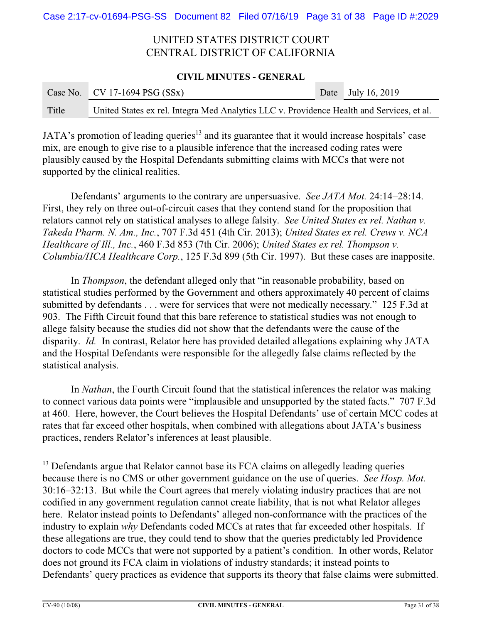#### **CIVIL MINUTES - GENERAL**

|       | Case No.   CV 17-1694 PSG $(SSx)$                                                         | Date July 16, 2019 |
|-------|-------------------------------------------------------------------------------------------|--------------------|
| Title | United States ex rel. Integra Med Analytics LLC v. Providence Health and Services, et al. |                    |

JATA's promotion of leading queries<sup>13</sup> and its guarantee that it would increase hospitals' case mix, are enough to give rise to a plausible inference that the increased coding rates were plausibly caused by the Hospital Defendants submitting claims with MCCs that were not supported by the clinical realities.

Defendants' arguments to the contrary are unpersuasive. *See JATA Mot.* 24:14–28:14. First, they rely on three out-of-circuit cases that they contend stand for the proposition that relators cannot rely on statistical analyses to allege falsity. *See United States ex rel. Nathan v. Takeda Pharm. N. Am., Inc.*, 707 F.3d 451 (4th Cir. 2013); *United States ex rel. Crews v. NCA Healthcare of Ill., Inc.*, 460 F.3d 853 (7th Cir. 2006); *United States ex rel. Thompson v. Columbia/HCA Healthcare Corp.*, 125 F.3d 899 (5th Cir. 1997). But these cases are inapposite.

In *Thompson*, the defendant alleged only that "in reasonable probability, based on statistical studies performed by the Government and others approximately 40 percent of claims submitted by defendants . . . were for services that were not medically necessary." 125 F.3d at 903. The Fifth Circuit found that this bare reference to statistical studies was not enough to allege falsity because the studies did not show that the defendants were the cause of the disparity. *Id.* In contrast, Relator here has provided detailed allegations explaining why JATA and the Hospital Defendants were responsible for the allegedly false claims reflected by the statistical analysis.

In *Nathan*, the Fourth Circuit found that the statistical inferences the relator was making to connect various data points were "implausible and unsupported by the stated facts." 707 F.3d at 460. Here, however, the Court believes the Hospital Defendants' use of certain MCC codes at rates that far exceed other hospitals, when combined with allegations about JATA's business practices, renders Relator's inferences at least plausible.

<sup>&</sup>lt;sup>13</sup> Defendants argue that Relator cannot base its FCA claims on allegedly leading queries because there is no CMS or other government guidance on the use of queries. *See Hosp. Mot.* 30:16–32:13. But while the Court agrees that merely violating industry practices that are not codified in any government regulation cannot create liability, that is not what Relator alleges here. Relator instead points to Defendants' alleged non-conformance with the practices of the industry to explain *why* Defendants coded MCCs at rates that far exceeded other hospitals. If these allegations are true, they could tend to show that the queries predictably led Providence doctors to code MCCs that were not supported by a patient's condition. In other words, Relator does not ground its FCA claim in violations of industry standards; it instead points to Defendants' query practices as evidence that supports its theory that false claims were submitted.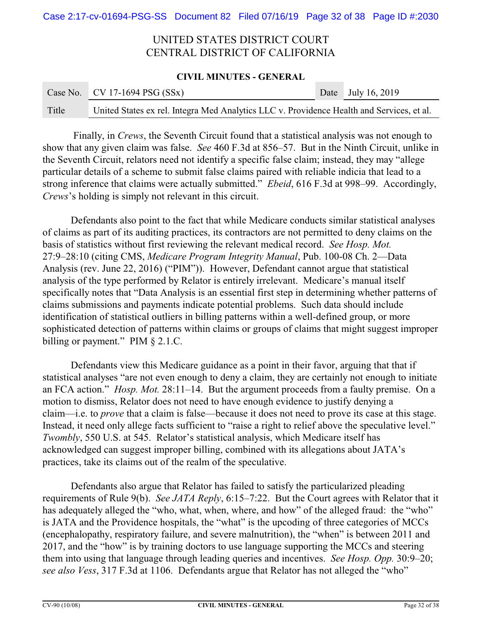### **CIVIL MINUTES - GENERAL**

|       | Case No. CV 17-1694 PSG $(SSx)$                                                           | Date July 16, 2019 |
|-------|-------------------------------------------------------------------------------------------|--------------------|
| Title | United States ex rel. Integra Med Analytics LLC v. Providence Health and Services, et al. |                    |

 Finally, in *Crews*, the Seventh Circuit found that a statistical analysis was not enough to show that any given claim was false. *See* 460 F.3d at 856–57. But in the Ninth Circuit, unlike in the Seventh Circuit, relators need not identify a specific false claim; instead, they may "allege particular details of a scheme to submit false claims paired with reliable indicia that lead to a strong inference that claims were actually submitted." *Ebeid*, 616 F.3d at 998–99. Accordingly, *Crews*'s holding is simply not relevant in this circuit.

Defendants also point to the fact that while Medicare conducts similar statistical analyses of claims as part of its auditing practices, its contractors are not permitted to deny claims on the basis of statistics without first reviewing the relevant medical record. *See Hosp. Mot.* 27:9–28:10 (citing CMS, *Medicare Program Integrity Manual*, Pub. 100-08 Ch. 2—Data Analysis (rev. June 22, 2016) ("PIM")). However, Defendant cannot argue that statistical analysis of the type performed by Relator is entirely irrelevant. Medicare's manual itself specifically notes that "Data Analysis is an essential first step in determining whether patterns of claims submissions and payments indicate potential problems. Such data should include identification of statistical outliers in billing patterns within a well-defined group, or more sophisticated detection of patterns within claims or groups of claims that might suggest improper billing or payment." PIM § 2.1.C.

Defendants view this Medicare guidance as a point in their favor, arguing that that if statistical analyses "are not even enough to deny a claim, they are certainly not enough to initiate an FCA action." *Hosp. Mot.* 28:11–14. But the argument proceeds from a faulty premise. On a motion to dismiss, Relator does not need to have enough evidence to justify denying a claim—i.e. to *prove* that a claim is false—because it does not need to prove its case at this stage. Instead, it need only allege facts sufficient to "raise a right to relief above the speculative level." *Twombly*, 550 U.S. at 545. Relator's statistical analysis, which Medicare itself has acknowledged can suggest improper billing, combined with its allegations about JATA's practices, take its claims out of the realm of the speculative.

Defendants also argue that Relator has failed to satisfy the particularized pleading requirements of Rule 9(b). *See JATA Reply*, 6:15–7:22. But the Court agrees with Relator that it has adequately alleged the "who, what, when, where, and how" of the alleged fraud: the "who" is JATA and the Providence hospitals, the "what" is the upcoding of three categories of MCCs (encephalopathy, respiratory failure, and severe malnutrition), the "when" is between 2011 and 2017, and the "how" is by training doctors to use language supporting the MCCs and steering them into using that language through leading queries and incentives. *See Hosp. Opp.* 30:9–20; *see also Vess*, 317 F.3d at 1106. Defendants argue that Relator has not alleged the "who"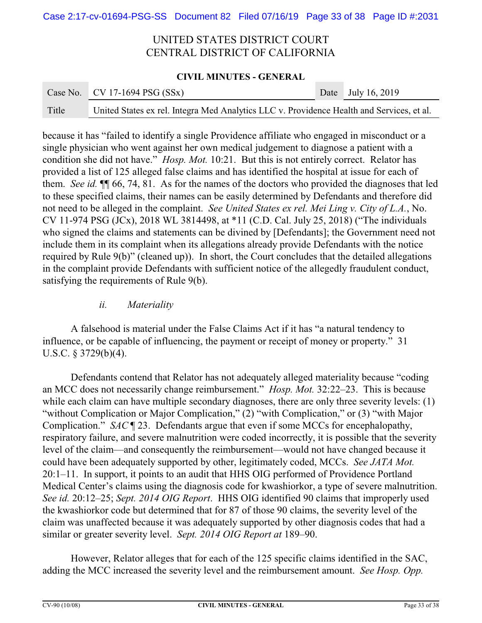### **CIVIL MINUTES - GENERAL**

|       | Case No. CV 17-1694 PSG $(SSx)$                                                           | Date July 16, 2019 |
|-------|-------------------------------------------------------------------------------------------|--------------------|
| Title | United States ex rel. Integra Med Analytics LLC v. Providence Health and Services, et al. |                    |

because it has "failed to identify a single Providence affiliate who engaged in misconduct or a single physician who went against her own medical judgement to diagnose a patient with a condition she did not have." *Hosp. Mot.* 10:21. But this is not entirely correct. Relator has provided a list of 125 alleged false claims and has identified the hospital at issue for each of them. *See id.* ¶¶ 66, 74, 81. As for the names of the doctors who provided the diagnoses that led to these specified claims, their names can be easily determined by Defendants and therefore did not need to be alleged in the complaint. *See United States ex rel. Mei Ling v. City of L.A.*, No. CV 11-974 PSG (JCx), 2018 WL 3814498, at \*11 (C.D. Cal. July 25, 2018) ("The individuals who signed the claims and statements can be divined by [Defendants]; the Government need not include them in its complaint when its allegations already provide Defendants with the notice required by Rule 9(b)" (cleaned up)). In short, the Court concludes that the detailed allegations in the complaint provide Defendants with sufficient notice of the allegedly fraudulent conduct, satisfying the requirements of Rule 9(b).

## *ii. Materiality*

A falsehood is material under the False Claims Act if it has "a natural tendency to influence, or be capable of influencing, the payment or receipt of money or property." 31 U.S.C. § 3729(b)(4).

Defendants contend that Relator has not adequately alleged materiality because "coding an MCC does not necessarily change reimbursement." *Hosp. Mot.* 32:22–23. This is because while each claim can have multiple secondary diagnoses, there are only three severity levels: (1) "without Complication or Major Complication," (2) "with Complication," or (3) "with Major Complication." *SAC* ¶ 23. Defendants argue that even if some MCCs for encephalopathy, respiratory failure, and severe malnutrition were coded incorrectly, it is possible that the severity level of the claim—and consequently the reimbursement—would not have changed because it could have been adequately supported by other, legitimately coded, MCCs. *See JATA Mot.* 20:1–11. In support, it points to an audit that HHS OIG performed of Providence Portland Medical Center's claims using the diagnosis code for kwashiorkor, a type of severe malnutrition. *See id.* 20:12–25; *Sept. 2014 OIG Report*. HHS OIG identified 90 claims that improperly used the kwashiorkor code but determined that for 87 of those 90 claims, the severity level of the claim was unaffected because it was adequately supported by other diagnosis codes that had a similar or greater severity level. *Sept. 2014 OIG Report at* 189–90.

However, Relator alleges that for each of the 125 specific claims identified in the SAC, adding the MCC increased the severity level and the reimbursement amount. *See Hosp. Opp.*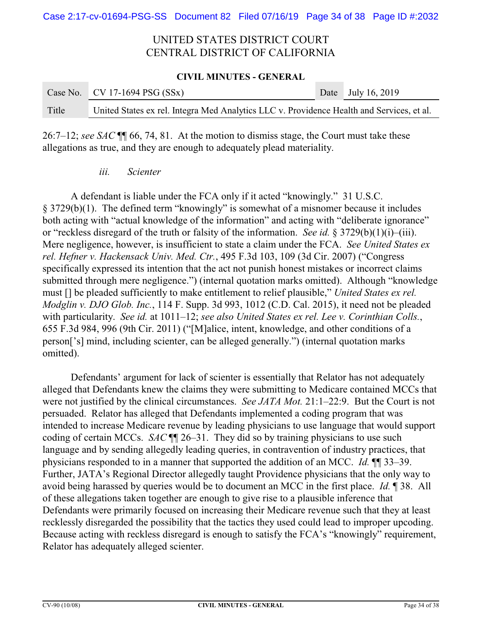#### **CIVIL MINUTES - GENERAL**

|       | Case No. CV 17-1694 PSG $(SSx)$                                                           | Date July 16, 2019 |
|-------|-------------------------------------------------------------------------------------------|--------------------|
| Title | United States ex rel. Integra Med Analytics LLC v. Providence Health and Services, et al. |                    |

26:7–12; *see SAC* ¶¶ 66, 74, 81. At the motion to dismiss stage, the Court must take these allegations as true, and they are enough to adequately plead materiality.

### *iii. Scienter*

A defendant is liable under the FCA only if it acted "knowingly." 31 U.S.C. § 3729(b)(1). The defined term "knowingly" is somewhat of a misnomer because it includes both acting with "actual knowledge of the information" and acting with "deliberate ignorance" or "reckless disregard of the truth or falsity of the information. *See id.* § 3729(b)(1)(i)–(iii). Mere negligence, however, is insufficient to state a claim under the FCA. *See United States ex rel. Hefner v. Hackensack Univ. Med. Ctr.*, 495 F.3d 103, 109 (3d Cir. 2007) ("Congress specifically expressed its intention that the act not punish honest mistakes or incorrect claims submitted through mere negligence.") (internal quotation marks omitted). Although "knowledge must [] be pleaded sufficiently to make entitlement to relief plausible," *United States ex rel. Modglin v. DJO Glob. Inc.*, 114 F. Supp. 3d 993, 1012 (C.D. Cal. 2015), it need not be pleaded with particularity. *See id.* at 1011–12; *see also United States ex rel. Lee v. Corinthian Colls.*, 655 F.3d 984, 996 (9th Cir. 2011) ("[M]alice, intent, knowledge, and other conditions of a person['s] mind, including scienter, can be alleged generally.") (internal quotation marks omitted).

Defendants' argument for lack of scienter is essentially that Relator has not adequately alleged that Defendants knew the claims they were submitting to Medicare contained MCCs that were not justified by the clinical circumstances. *See JATA Mot.* 21:1–22:9. But the Court is not persuaded. Relator has alleged that Defendants implemented a coding program that was intended to increase Medicare revenue by leading physicians to use language that would support coding of certain MCCs. *SAC* ¶¶ 26–31. They did so by training physicians to use such language and by sending allegedly leading queries, in contravention of industry practices, that physicians responded to in a manner that supported the addition of an MCC. *Id.* ¶¶ 33–39. Further, JATA's Regional Director allegedly taught Providence physicians that the only way to avoid being harassed by queries would be to document an MCC in the first place. *Id.* ¶ 38. All of these allegations taken together are enough to give rise to a plausible inference that Defendants were primarily focused on increasing their Medicare revenue such that they at least recklessly disregarded the possibility that the tactics they used could lead to improper upcoding. Because acting with reckless disregard is enough to satisfy the FCA's "knowingly" requirement, Relator has adequately alleged scienter.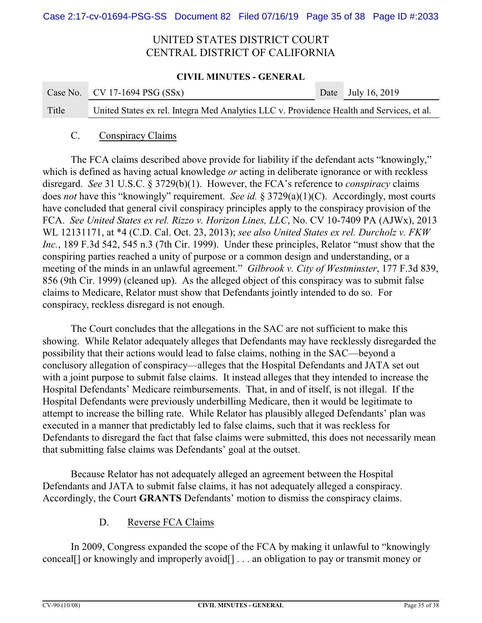### **CIVIL MINUTES - GENERAL**

|       | Case No. CV 17-1694 PSG $(SSx)$                                                           | Date July 16, 2019 |
|-------|-------------------------------------------------------------------------------------------|--------------------|
| Title | United States ex rel. Integra Med Analytics LLC v. Providence Health and Services, et al. |                    |

### C. Conspiracy Claims

The FCA claims described above provide for liability if the defendant acts "knowingly," which is defined as having actual knowledge *or* acting in deliberate ignorance or with reckless disregard. *See* 31 U.S.C. § 3729(b)(1). However, the FCA's reference to *conspiracy* claims does *not* have this "knowingly" requirement. *See id.* § 3729(a)(1)(C). Accordingly, most courts have concluded that general civil conspiracy principles apply to the conspiracy provision of the FCA. *See United States ex rel. Rizzo v. Horizon Lines, LLC*, No. CV 10-7409 PA (AJWx), 2013 WL 12131171, at \*4 (C.D. Cal. Oct. 23, 2013); *see also United States ex rel. Durcholz v. FKW Inc.*, 189 F.3d 542, 545 n.3 (7th Cir. 1999). Under these principles, Relator "must show that the conspiring parties reached a unity of purpose or a common design and understanding, or a meeting of the minds in an unlawful agreement." *Gilbrook v. City of Westminster*, 177 F.3d 839, 856 (9th Cir. 1999) (cleaned up). As the alleged object of this conspiracy was to submit false claims to Medicare, Relator must show that Defendants jointly intended to do so. For conspiracy, reckless disregard is not enough.

The Court concludes that the allegations in the SAC are not sufficient to make this showing. While Relator adequately alleges that Defendants may have recklessly disregarded the possibility that their actions would lead to false claims, nothing in the SAC—beyond a conclusory allegation of conspiracy—alleges that the Hospital Defendants and JATA set out with a joint purpose to submit false claims. It instead alleges that they intended to increase the Hospital Defendants' Medicare reimbursements. That, in and of itself, is not illegal. If the Hospital Defendants were previously underbilling Medicare, then it would be legitimate to attempt to increase the billing rate. While Relator has plausibly alleged Defendants' plan was executed in a manner that predictably led to false claims, such that it was reckless for Defendants to disregard the fact that false claims were submitted, this does not necessarily mean that submitting false claims was Defendants' goal at the outset.

Because Relator has not adequately alleged an agreement between the Hospital Defendants and JATA to submit false claims, it has not adequately alleged a conspiracy. Accordingly, the Court **GRANTS** Defendants' motion to dismiss the conspiracy claims.

## D. Reverse FCA Claims

In 2009, Congress expanded the scope of the FCA by making it unlawful to "knowingly conceal[] or knowingly and improperly avoid[] . . . an obligation to pay or transmit money or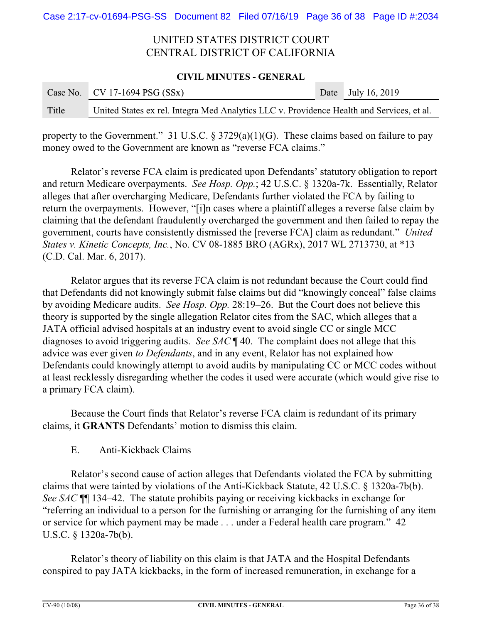### **CIVIL MINUTES - GENERAL**

|       | Case No. CV 17-1694 PSG $(SSx)$                                                           | Date July 16, 2019 |
|-------|-------------------------------------------------------------------------------------------|--------------------|
| Title | United States ex rel. Integra Med Analytics LLC v. Providence Health and Services, et al. |                    |

property to the Government." 31 U.S.C. § 3729(a)(1)(G). These claims based on failure to pay money owed to the Government are known as "reverse FCA claims."

Relator's reverse FCA claim is predicated upon Defendants' statutory obligation to report and return Medicare overpayments. *See Hosp. Opp.*; 42 U.S.C. § 1320a-7k. Essentially, Relator alleges that after overcharging Medicare, Defendants further violated the FCA by failing to return the overpayments. However, "[i]n cases where a plaintiff alleges a reverse false claim by claiming that the defendant fraudulently overcharged the government and then failed to repay the government, courts have consistently dismissed the [reverse FCA] claim as redundant." *United States v. Kinetic Concepts, Inc.*, No. CV 08-1885 BRO (AGRx), 2017 WL 2713730, at \*13 (C.D. Cal. Mar. 6, 2017).

Relator argues that its reverse FCA claim is not redundant because the Court could find that Defendants did not knowingly submit false claims but did "knowingly conceal" false claims by avoiding Medicare audits. *See Hosp. Opp.* 28:19–26. But the Court does not believe this theory is supported by the single allegation Relator cites from the SAC, which alleges that a JATA official advised hospitals at an industry event to avoid single CC or single MCC diagnoses to avoid triggering audits. *See SAC* ¶ 40. The complaint does not allege that this advice was ever given *to Defendants*, and in any event, Relator has not explained how Defendants could knowingly attempt to avoid audits by manipulating CC or MCC codes without at least recklessly disregarding whether the codes it used were accurate (which would give rise to a primary FCA claim).

Because the Court finds that Relator's reverse FCA claim is redundant of its primary claims, it **GRANTS** Defendants' motion to dismiss this claim.

## E. Anti-Kickback Claims

Relator's second cause of action alleges that Defendants violated the FCA by submitting claims that were tainted by violations of the Anti-Kickback Statute, 42 U.S.C. § 1320a-7b(b). *See SAC* ¶¶ 134–42. The statute prohibits paying or receiving kickbacks in exchange for "referring an individual to a person for the furnishing or arranging for the furnishing of any item or service for which payment may be made . . . under a Federal health care program." 42 U.S.C. § 1320a-7b(b).

Relator's theory of liability on this claim is that JATA and the Hospital Defendants conspired to pay JATA kickbacks, in the form of increased remuneration, in exchange for a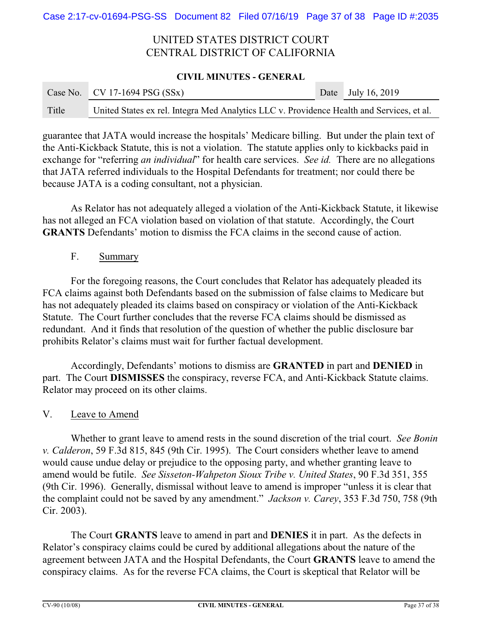### **CIVIL MINUTES - GENERAL**

|       | Case No. CV 17-1694 PSG $(SSx)$                                                           | Date July 16, 2019 |
|-------|-------------------------------------------------------------------------------------------|--------------------|
| Title | United States ex rel. Integra Med Analytics LLC v. Providence Health and Services, et al. |                    |

guarantee that JATA would increase the hospitals' Medicare billing. But under the plain text of the Anti-Kickback Statute, this is not a violation. The statute applies only to kickbacks paid in exchange for "referring *an individual*" for health care services. *See id.* There are no allegations that JATA referred individuals to the Hospital Defendants for treatment; nor could there be because JATA is a coding consultant, not a physician.

As Relator has not adequately alleged a violation of the Anti-Kickback Statute, it likewise has not alleged an FCA violation based on violation of that statute. Accordingly, the Court **GRANTS** Defendants' motion to dismiss the FCA claims in the second cause of action.

## F. Summary

For the foregoing reasons, the Court concludes that Relator has adequately pleaded its FCA claims against both Defendants based on the submission of false claims to Medicare but has not adequately pleaded its claims based on conspiracy or violation of the Anti-Kickback Statute. The Court further concludes that the reverse FCA claims should be dismissed as redundant. And it finds that resolution of the question of whether the public disclosure bar prohibits Relator's claims must wait for further factual development.

Accordingly, Defendants' motions to dismiss are **GRANTED** in part and **DENIED** in part. The Court **DISMISSES** the conspiracy, reverse FCA, and Anti-Kickback Statute claims. Relator may proceed on its other claims.

## V. Leave to Amend

Whether to grant leave to amend rests in the sound discretion of the trial court. *See Bonin v. Calderon*, 59 F.3d 815, 845 (9th Cir. 1995). The Court considers whether leave to amend would cause undue delay or prejudice to the opposing party, and whether granting leave to amend would be futile. *See Sisseton-Wahpeton Sioux Tribe v. United States*, 90 F.3d 351, 355 (9th Cir. 1996). Generally, dismissal without leave to amend is improper "unless it is clear that the complaint could not be saved by any amendment." *Jackson v. Carey*, 353 F.3d 750, 758 (9th Cir. 2003).

The Court **GRANTS** leave to amend in part and **DENIES** it in part. As the defects in Relator's conspiracy claims could be cured by additional allegations about the nature of the agreement between JATA and the Hospital Defendants, the Court **GRANTS** leave to amend the conspiracy claims. As for the reverse FCA claims, the Court is skeptical that Relator will be